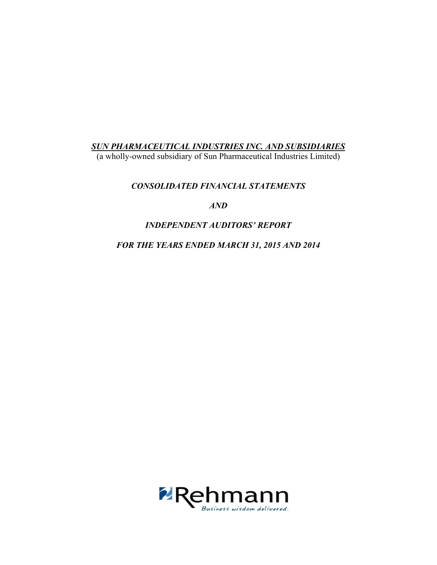(a wholly-owned subsidiary of Sun Pharmaceutical Industries Limited)

## *CONSOLIDATED FINANCIAL STATEMENTS*

## *AND*

# *INDEPENDENT AUDITORS' REPORT*

*FOR THE YEARS ENDED MARCH 31, 2015 AND 2014* 

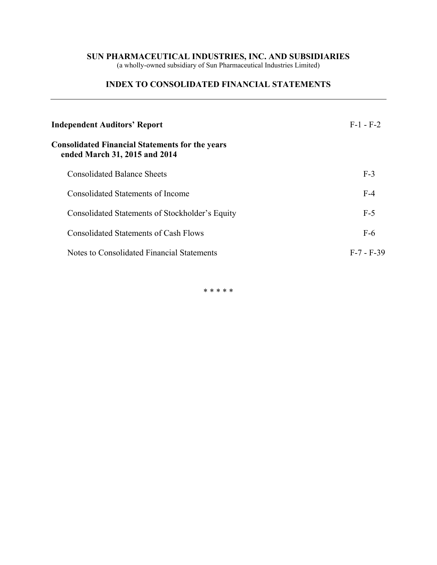(a wholly-owned subsidiary of Sun Pharmaceutical Industries Limited)

# **INDEX TO CONSOLIDATED FINANCIAL STATEMENTS**

| <b>Independent Auditors' Report</b>                                                     |            |
|-----------------------------------------------------------------------------------------|------------|
| <b>Consolidated Financial Statements for the years</b><br>ended March 31, 2015 and 2014 |            |
| Consolidated Balance Sheets                                                             | $F-3$      |
| Consolidated Statements of Income                                                       | $F-4$      |
| Consolidated Statements of Stockholder's Equity                                         | $F-5$      |
| Consolidated Statements of Cash Flows                                                   | $F-6$      |
| Notes to Consolidated Financial Statements                                              | $F-7-F-39$ |

\* \* \* \* \*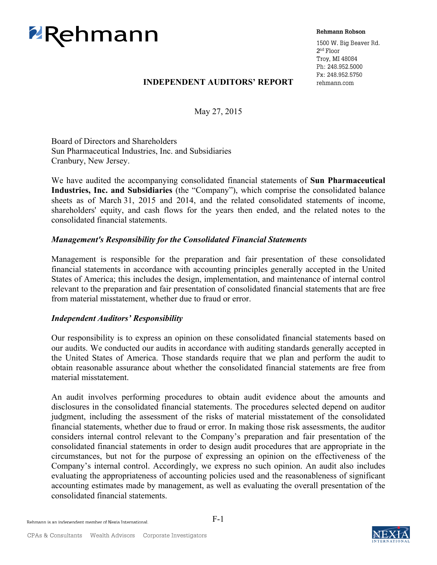# **ZRehmann**

#### Rehmann Robson

1500 W. Big Beaver Rd.  $2<sup>nd</sup>$  Floor Troy, MI 48084 Ph: 248.952.5000 Fx: 248.952.5750 rehmann.com

# **INDEPENDENT AUDITORS' REPORT**

May 27, 2015

Board of Directors and Shareholders Sun Pharmaceutical Industries, Inc. and Subsidiaries Cranbury, New Jersey.

We have audited the accompanying consolidated financial statements of **Sun Pharmaceutical Industries, Inc. and Subsidiaries** (the "Company"), which comprise the consolidated balance sheets as of March 31, 2015 and 2014, and the related consolidated statements of income, shareholders' equity, and cash flows for the years then ended, and the related notes to the consolidated financial statements.

# *Management's Responsibility for the Consolidated Financial Statements*

Management is responsible for the preparation and fair presentation of these consolidated financial statements in accordance with accounting principles generally accepted in the United States of America; this includes the design, implementation, and maintenance of internal control relevant to the preparation and fair presentation of consolidated financial statements that are free from material misstatement, whether due to fraud or error.

## *Independent Auditors' Responsibility*

Our responsibility is to express an opinion on these consolidated financial statements based on our audits. We conducted our audits in accordance with auditing standards generally accepted in the United States of America. Those standards require that we plan and perform the audit to obtain reasonable assurance about whether the consolidated financial statements are free from material misstatement.

An audit involves performing procedures to obtain audit evidence about the amounts and disclosures in the consolidated financial statements. The procedures selected depend on auditor judgment, including the assessment of the risks of material misstatement of the consolidated financial statements, whether due to fraud or error. In making those risk assessments, the auditor considers internal control relevant to the Company's preparation and fair presentation of the consolidated financial statements in order to design audit procedures that are appropriate in the circumstances, but not for the purpose of expressing an opinion on the effectiveness of the Company's internal control. Accordingly, we express no such opinion. An audit also includes evaluating the appropriateness of accounting policies used and the reasonableness of significant accounting estimates made by management, as well as evaluating the overall presentation of the consolidated financial statements.

CPAs & Consultants Wealth Advisors Corporate Investigators

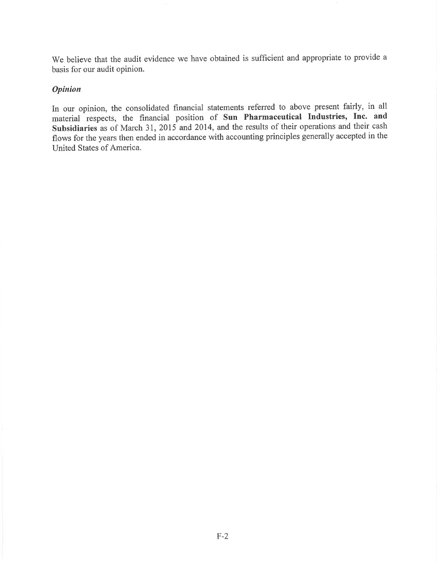We believe that the audit evidence we have obtained is sufficient and appropriate to provide a basis for our audit opinion.

#### **Opinion**

In our opinion, the consolidated financial statements referred to above present fairly, in all material respects, the financial position of Sun Pharmaceutical Industries, Inc. and Subsidiaries as of March 31, 2015 and 2014, and the results of their operations and their cash flows for the years then ended in accordance with accounting principles generally accepted in the United States of America.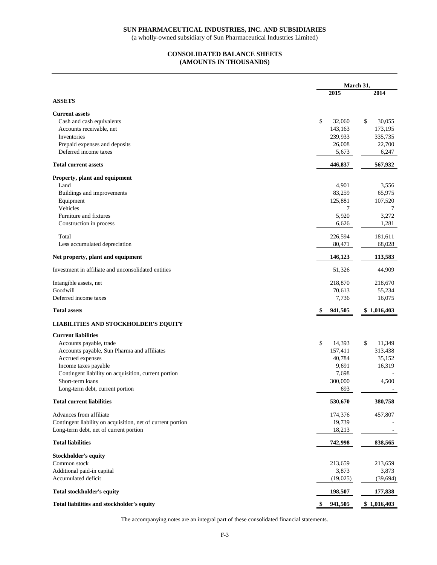(a wholly-owned subsidiary of Sun Pharmaceutical Industries Limited)

#### **CONSOLIDATED BALANCE SHEETS (AMOUNTS IN THOUSANDS)**

| 2015<br>2014<br><b>ASSETS</b><br><b>Current assets</b><br>\$<br>\$<br>30,055<br>Cash and cash equivalents<br>32,060<br>143,163<br>173,195<br>Accounts receivable, net<br>Inventories<br>239,933<br>335,735<br>Prepaid expenses and deposits<br>26,008<br>22,700<br>Deferred income taxes<br>6,247<br>5,673<br><b>Total current assets</b><br>446,837<br>567,932<br>Property, plant and equipment<br>Land<br>4,901<br>3,556<br>Buildings and improvements<br>83,259<br>65,975<br>Equipment<br>125,881<br>107,520<br>Vehicles<br>7<br>7<br>5,920<br>Furniture and fixtures<br>3,272<br>Construction in process<br>6,626<br>1,281<br>Total<br>226,594<br>181,611<br>68,028<br>Less accumulated depreciation<br>80,471<br>Net property, plant and equipment<br>146,123<br>113,583<br>Investment in affiliate and unconsolidated entities<br>51,326<br>44,909<br>218,870<br>Intangible assets, net<br>218,670<br>55,234<br>Goodwill<br>70,613<br>Deferred income taxes<br>16,075<br>7,736<br><b>Total assets</b><br>941,505<br>\$1,016,403<br>\$<br><b>LIABILITIES AND STOCKHOLDER'S EQUITY</b><br><b>Current liabilities</b><br>\$<br>\$<br>Accounts payable, trade<br>14,393<br>11,349<br>Accounts payable, Sun Pharma and affiliates<br>157,411<br>313,438<br>Accrued expenses<br>40,784<br>35,152<br>Income taxes payable<br>9,691<br>16,319<br>Contingent liability on acquisition, current portion<br>7,698<br>Short-term loans<br>300,000<br>4,500<br>Long-term debt, current portion<br>693<br>$\overline{\phantom{a}}$<br><b>Total current liabilities</b><br>530,670<br>380,758<br>Advances from affiliate<br>174,376<br>457,807<br>Contingent liability on acquisition, net of current portion<br>19,739<br>Long-term debt, net of current portion<br>18,213<br><b>Total liabilities</b><br>742,998<br>838,565<br><b>Stockholder's equity</b><br>Common stock<br>213,659<br>213,659<br>Additional paid-in capital<br>3,873<br>3,873<br>Accumulated deficit<br>(19,025)<br>(39, 694)<br>198,507<br><b>Total stockholder's equity</b><br>177,838<br>\$1,016,403<br>Total liabilities and stockholder's equity<br>941,505<br>\$ |  | March 31, |
|------------------------------------------------------------------------------------------------------------------------------------------------------------------------------------------------------------------------------------------------------------------------------------------------------------------------------------------------------------------------------------------------------------------------------------------------------------------------------------------------------------------------------------------------------------------------------------------------------------------------------------------------------------------------------------------------------------------------------------------------------------------------------------------------------------------------------------------------------------------------------------------------------------------------------------------------------------------------------------------------------------------------------------------------------------------------------------------------------------------------------------------------------------------------------------------------------------------------------------------------------------------------------------------------------------------------------------------------------------------------------------------------------------------------------------------------------------------------------------------------------------------------------------------------------------------------------------------------------------------------------------------------------------------------------------------------------------------------------------------------------------------------------------------------------------------------------------------------------------------------------------------------------------------------------------------------------------------------------------------------------------------------------------------------------------------------------------------------------------------------------------|--|-----------|
|                                                                                                                                                                                                                                                                                                                                                                                                                                                                                                                                                                                                                                                                                                                                                                                                                                                                                                                                                                                                                                                                                                                                                                                                                                                                                                                                                                                                                                                                                                                                                                                                                                                                                                                                                                                                                                                                                                                                                                                                                                                                                                                                    |  |           |
|                                                                                                                                                                                                                                                                                                                                                                                                                                                                                                                                                                                                                                                                                                                                                                                                                                                                                                                                                                                                                                                                                                                                                                                                                                                                                                                                                                                                                                                                                                                                                                                                                                                                                                                                                                                                                                                                                                                                                                                                                                                                                                                                    |  |           |
|                                                                                                                                                                                                                                                                                                                                                                                                                                                                                                                                                                                                                                                                                                                                                                                                                                                                                                                                                                                                                                                                                                                                                                                                                                                                                                                                                                                                                                                                                                                                                                                                                                                                                                                                                                                                                                                                                                                                                                                                                                                                                                                                    |  |           |
|                                                                                                                                                                                                                                                                                                                                                                                                                                                                                                                                                                                                                                                                                                                                                                                                                                                                                                                                                                                                                                                                                                                                                                                                                                                                                                                                                                                                                                                                                                                                                                                                                                                                                                                                                                                                                                                                                                                                                                                                                                                                                                                                    |  |           |
|                                                                                                                                                                                                                                                                                                                                                                                                                                                                                                                                                                                                                                                                                                                                                                                                                                                                                                                                                                                                                                                                                                                                                                                                                                                                                                                                                                                                                                                                                                                                                                                                                                                                                                                                                                                                                                                                                                                                                                                                                                                                                                                                    |  |           |
|                                                                                                                                                                                                                                                                                                                                                                                                                                                                                                                                                                                                                                                                                                                                                                                                                                                                                                                                                                                                                                                                                                                                                                                                                                                                                                                                                                                                                                                                                                                                                                                                                                                                                                                                                                                                                                                                                                                                                                                                                                                                                                                                    |  |           |
|                                                                                                                                                                                                                                                                                                                                                                                                                                                                                                                                                                                                                                                                                                                                                                                                                                                                                                                                                                                                                                                                                                                                                                                                                                                                                                                                                                                                                                                                                                                                                                                                                                                                                                                                                                                                                                                                                                                                                                                                                                                                                                                                    |  |           |
|                                                                                                                                                                                                                                                                                                                                                                                                                                                                                                                                                                                                                                                                                                                                                                                                                                                                                                                                                                                                                                                                                                                                                                                                                                                                                                                                                                                                                                                                                                                                                                                                                                                                                                                                                                                                                                                                                                                                                                                                                                                                                                                                    |  |           |
|                                                                                                                                                                                                                                                                                                                                                                                                                                                                                                                                                                                                                                                                                                                                                                                                                                                                                                                                                                                                                                                                                                                                                                                                                                                                                                                                                                                                                                                                                                                                                                                                                                                                                                                                                                                                                                                                                                                                                                                                                                                                                                                                    |  |           |
|                                                                                                                                                                                                                                                                                                                                                                                                                                                                                                                                                                                                                                                                                                                                                                                                                                                                                                                                                                                                                                                                                                                                                                                                                                                                                                                                                                                                                                                                                                                                                                                                                                                                                                                                                                                                                                                                                                                                                                                                                                                                                                                                    |  |           |
|                                                                                                                                                                                                                                                                                                                                                                                                                                                                                                                                                                                                                                                                                                                                                                                                                                                                                                                                                                                                                                                                                                                                                                                                                                                                                                                                                                                                                                                                                                                                                                                                                                                                                                                                                                                                                                                                                                                                                                                                                                                                                                                                    |  |           |
|                                                                                                                                                                                                                                                                                                                                                                                                                                                                                                                                                                                                                                                                                                                                                                                                                                                                                                                                                                                                                                                                                                                                                                                                                                                                                                                                                                                                                                                                                                                                                                                                                                                                                                                                                                                                                                                                                                                                                                                                                                                                                                                                    |  |           |
|                                                                                                                                                                                                                                                                                                                                                                                                                                                                                                                                                                                                                                                                                                                                                                                                                                                                                                                                                                                                                                                                                                                                                                                                                                                                                                                                                                                                                                                                                                                                                                                                                                                                                                                                                                                                                                                                                                                                                                                                                                                                                                                                    |  |           |
|                                                                                                                                                                                                                                                                                                                                                                                                                                                                                                                                                                                                                                                                                                                                                                                                                                                                                                                                                                                                                                                                                                                                                                                                                                                                                                                                                                                                                                                                                                                                                                                                                                                                                                                                                                                                                                                                                                                                                                                                                                                                                                                                    |  |           |
|                                                                                                                                                                                                                                                                                                                                                                                                                                                                                                                                                                                                                                                                                                                                                                                                                                                                                                                                                                                                                                                                                                                                                                                                                                                                                                                                                                                                                                                                                                                                                                                                                                                                                                                                                                                                                                                                                                                                                                                                                                                                                                                                    |  |           |
|                                                                                                                                                                                                                                                                                                                                                                                                                                                                                                                                                                                                                                                                                                                                                                                                                                                                                                                                                                                                                                                                                                                                                                                                                                                                                                                                                                                                                                                                                                                                                                                                                                                                                                                                                                                                                                                                                                                                                                                                                                                                                                                                    |  |           |
|                                                                                                                                                                                                                                                                                                                                                                                                                                                                                                                                                                                                                                                                                                                                                                                                                                                                                                                                                                                                                                                                                                                                                                                                                                                                                                                                                                                                                                                                                                                                                                                                                                                                                                                                                                                                                                                                                                                                                                                                                                                                                                                                    |  |           |
|                                                                                                                                                                                                                                                                                                                                                                                                                                                                                                                                                                                                                                                                                                                                                                                                                                                                                                                                                                                                                                                                                                                                                                                                                                                                                                                                                                                                                                                                                                                                                                                                                                                                                                                                                                                                                                                                                                                                                                                                                                                                                                                                    |  |           |
|                                                                                                                                                                                                                                                                                                                                                                                                                                                                                                                                                                                                                                                                                                                                                                                                                                                                                                                                                                                                                                                                                                                                                                                                                                                                                                                                                                                                                                                                                                                                                                                                                                                                                                                                                                                                                                                                                                                                                                                                                                                                                                                                    |  |           |
|                                                                                                                                                                                                                                                                                                                                                                                                                                                                                                                                                                                                                                                                                                                                                                                                                                                                                                                                                                                                                                                                                                                                                                                                                                                                                                                                                                                                                                                                                                                                                                                                                                                                                                                                                                                                                                                                                                                                                                                                                                                                                                                                    |  |           |
|                                                                                                                                                                                                                                                                                                                                                                                                                                                                                                                                                                                                                                                                                                                                                                                                                                                                                                                                                                                                                                                                                                                                                                                                                                                                                                                                                                                                                                                                                                                                                                                                                                                                                                                                                                                                                                                                                                                                                                                                                                                                                                                                    |  |           |
|                                                                                                                                                                                                                                                                                                                                                                                                                                                                                                                                                                                                                                                                                                                                                                                                                                                                                                                                                                                                                                                                                                                                                                                                                                                                                                                                                                                                                                                                                                                                                                                                                                                                                                                                                                                                                                                                                                                                                                                                                                                                                                                                    |  |           |
|                                                                                                                                                                                                                                                                                                                                                                                                                                                                                                                                                                                                                                                                                                                                                                                                                                                                                                                                                                                                                                                                                                                                                                                                                                                                                                                                                                                                                                                                                                                                                                                                                                                                                                                                                                                                                                                                                                                                                                                                                                                                                                                                    |  |           |
|                                                                                                                                                                                                                                                                                                                                                                                                                                                                                                                                                                                                                                                                                                                                                                                                                                                                                                                                                                                                                                                                                                                                                                                                                                                                                                                                                                                                                                                                                                                                                                                                                                                                                                                                                                                                                                                                                                                                                                                                                                                                                                                                    |  |           |
|                                                                                                                                                                                                                                                                                                                                                                                                                                                                                                                                                                                                                                                                                                                                                                                                                                                                                                                                                                                                                                                                                                                                                                                                                                                                                                                                                                                                                                                                                                                                                                                                                                                                                                                                                                                                                                                                                                                                                                                                                                                                                                                                    |  |           |
|                                                                                                                                                                                                                                                                                                                                                                                                                                                                                                                                                                                                                                                                                                                                                                                                                                                                                                                                                                                                                                                                                                                                                                                                                                                                                                                                                                                                                                                                                                                                                                                                                                                                                                                                                                                                                                                                                                                                                                                                                                                                                                                                    |  |           |
|                                                                                                                                                                                                                                                                                                                                                                                                                                                                                                                                                                                                                                                                                                                                                                                                                                                                                                                                                                                                                                                                                                                                                                                                                                                                                                                                                                                                                                                                                                                                                                                                                                                                                                                                                                                                                                                                                                                                                                                                                                                                                                                                    |  |           |
|                                                                                                                                                                                                                                                                                                                                                                                                                                                                                                                                                                                                                                                                                                                                                                                                                                                                                                                                                                                                                                                                                                                                                                                                                                                                                                                                                                                                                                                                                                                                                                                                                                                                                                                                                                                                                                                                                                                                                                                                                                                                                                                                    |  |           |
|                                                                                                                                                                                                                                                                                                                                                                                                                                                                                                                                                                                                                                                                                                                                                                                                                                                                                                                                                                                                                                                                                                                                                                                                                                                                                                                                                                                                                                                                                                                                                                                                                                                                                                                                                                                                                                                                                                                                                                                                                                                                                                                                    |  |           |
|                                                                                                                                                                                                                                                                                                                                                                                                                                                                                                                                                                                                                                                                                                                                                                                                                                                                                                                                                                                                                                                                                                                                                                                                                                                                                                                                                                                                                                                                                                                                                                                                                                                                                                                                                                                                                                                                                                                                                                                                                                                                                                                                    |  |           |
|                                                                                                                                                                                                                                                                                                                                                                                                                                                                                                                                                                                                                                                                                                                                                                                                                                                                                                                                                                                                                                                                                                                                                                                                                                                                                                                                                                                                                                                                                                                                                                                                                                                                                                                                                                                                                                                                                                                                                                                                                                                                                                                                    |  |           |
|                                                                                                                                                                                                                                                                                                                                                                                                                                                                                                                                                                                                                                                                                                                                                                                                                                                                                                                                                                                                                                                                                                                                                                                                                                                                                                                                                                                                                                                                                                                                                                                                                                                                                                                                                                                                                                                                                                                                                                                                                                                                                                                                    |  |           |
|                                                                                                                                                                                                                                                                                                                                                                                                                                                                                                                                                                                                                                                                                                                                                                                                                                                                                                                                                                                                                                                                                                                                                                                                                                                                                                                                                                                                                                                                                                                                                                                                                                                                                                                                                                                                                                                                                                                                                                                                                                                                                                                                    |  |           |
|                                                                                                                                                                                                                                                                                                                                                                                                                                                                                                                                                                                                                                                                                                                                                                                                                                                                                                                                                                                                                                                                                                                                                                                                                                                                                                                                                                                                                                                                                                                                                                                                                                                                                                                                                                                                                                                                                                                                                                                                                                                                                                                                    |  |           |
|                                                                                                                                                                                                                                                                                                                                                                                                                                                                                                                                                                                                                                                                                                                                                                                                                                                                                                                                                                                                                                                                                                                                                                                                                                                                                                                                                                                                                                                                                                                                                                                                                                                                                                                                                                                                                                                                                                                                                                                                                                                                                                                                    |  |           |
|                                                                                                                                                                                                                                                                                                                                                                                                                                                                                                                                                                                                                                                                                                                                                                                                                                                                                                                                                                                                                                                                                                                                                                                                                                                                                                                                                                                                                                                                                                                                                                                                                                                                                                                                                                                                                                                                                                                                                                                                                                                                                                                                    |  |           |
|                                                                                                                                                                                                                                                                                                                                                                                                                                                                                                                                                                                                                                                                                                                                                                                                                                                                                                                                                                                                                                                                                                                                                                                                                                                                                                                                                                                                                                                                                                                                                                                                                                                                                                                                                                                                                                                                                                                                                                                                                                                                                                                                    |  |           |
|                                                                                                                                                                                                                                                                                                                                                                                                                                                                                                                                                                                                                                                                                                                                                                                                                                                                                                                                                                                                                                                                                                                                                                                                                                                                                                                                                                                                                                                                                                                                                                                                                                                                                                                                                                                                                                                                                                                                                                                                                                                                                                                                    |  |           |
|                                                                                                                                                                                                                                                                                                                                                                                                                                                                                                                                                                                                                                                                                                                                                                                                                                                                                                                                                                                                                                                                                                                                                                                                                                                                                                                                                                                                                                                                                                                                                                                                                                                                                                                                                                                                                                                                                                                                                                                                                                                                                                                                    |  |           |
|                                                                                                                                                                                                                                                                                                                                                                                                                                                                                                                                                                                                                                                                                                                                                                                                                                                                                                                                                                                                                                                                                                                                                                                                                                                                                                                                                                                                                                                                                                                                                                                                                                                                                                                                                                                                                                                                                                                                                                                                                                                                                                                                    |  |           |
|                                                                                                                                                                                                                                                                                                                                                                                                                                                                                                                                                                                                                                                                                                                                                                                                                                                                                                                                                                                                                                                                                                                                                                                                                                                                                                                                                                                                                                                                                                                                                                                                                                                                                                                                                                                                                                                                                                                                                                                                                                                                                                                                    |  |           |
|                                                                                                                                                                                                                                                                                                                                                                                                                                                                                                                                                                                                                                                                                                                                                                                                                                                                                                                                                                                                                                                                                                                                                                                                                                                                                                                                                                                                                                                                                                                                                                                                                                                                                                                                                                                                                                                                                                                                                                                                                                                                                                                                    |  |           |
|                                                                                                                                                                                                                                                                                                                                                                                                                                                                                                                                                                                                                                                                                                                                                                                                                                                                                                                                                                                                                                                                                                                                                                                                                                                                                                                                                                                                                                                                                                                                                                                                                                                                                                                                                                                                                                                                                                                                                                                                                                                                                                                                    |  |           |
|                                                                                                                                                                                                                                                                                                                                                                                                                                                                                                                                                                                                                                                                                                                                                                                                                                                                                                                                                                                                                                                                                                                                                                                                                                                                                                                                                                                                                                                                                                                                                                                                                                                                                                                                                                                                                                                                                                                                                                                                                                                                                                                                    |  |           |
|                                                                                                                                                                                                                                                                                                                                                                                                                                                                                                                                                                                                                                                                                                                                                                                                                                                                                                                                                                                                                                                                                                                                                                                                                                                                                                                                                                                                                                                                                                                                                                                                                                                                                                                                                                                                                                                                                                                                                                                                                                                                                                                                    |  |           |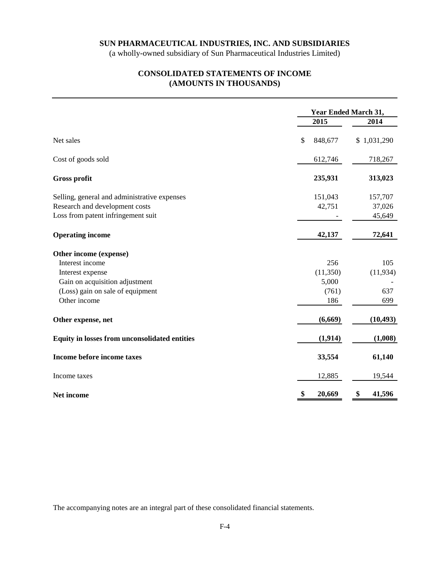(a wholly-owned subsidiary of Sun Pharmaceutical Industries Limited)

# **CONSOLIDATED STATEMENTS OF INCOME (AMOUNTS IN THOUSANDS)**

|                                               | Year Ended March 31, |              |  |  |
|-----------------------------------------------|----------------------|--------------|--|--|
|                                               | 2015                 | 2014         |  |  |
| Net sales                                     | \$<br>848,677        | \$1,031,290  |  |  |
| Cost of goods sold                            | 612,746              | 718,267      |  |  |
| <b>Gross profit</b>                           | 235,931              | 313,023      |  |  |
| Selling, general and administrative expenses  | 151,043              | 157,707      |  |  |
| Research and development costs                | 42,751               | 37,026       |  |  |
| Loss from patent infringement suit            |                      | 45,649       |  |  |
| <b>Operating income</b>                       | 42,137               | 72,641       |  |  |
| Other income (expense)                        |                      |              |  |  |
| Interest income                               | 256                  | 105          |  |  |
| Interest expense                              | (11,350)             | (11, 934)    |  |  |
| Gain on acquisition adjustment                | 5,000                |              |  |  |
| (Loss) gain on sale of equipment              | (761)                | 637          |  |  |
| Other income                                  | 186                  | 699          |  |  |
| Other expense, net                            | (6,669)              | (10, 493)    |  |  |
| Equity in losses from unconsolidated entities | (1, 914)             | (1,008)      |  |  |
| Income before income taxes                    | 33,554               | 61,140       |  |  |
| Income taxes                                  | 12,885               | 19,544       |  |  |
| <b>Net income</b>                             | \$<br>20,669         | \$<br>41,596 |  |  |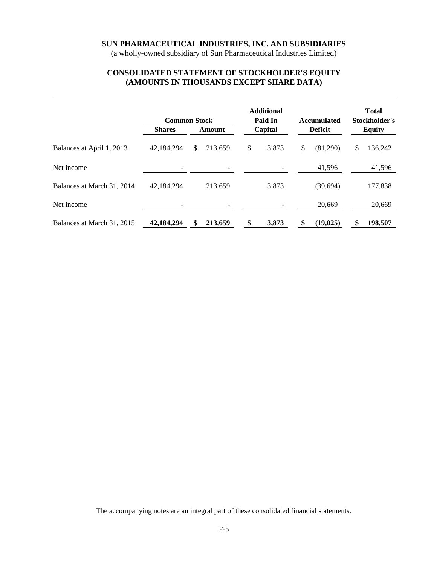(a wholly-owned subsidiary of Sun Pharmaceutical Industries Limited)

## **(AMOUNTS IN THOUSANDS EXCEPT SHARE DATA) CONSOLIDATED STATEMENT OF STOCKHOLDER'S EQUITY**

|                            | <b>Common Stock</b><br><b>Shares</b> | Amount        | <b>Additional</b><br>Paid In<br>Capital | <b>Accumulated</b><br><b>Deficit</b> | <b>Total</b><br>Stockholder's<br><b>Equity</b> |
|----------------------------|--------------------------------------|---------------|-----------------------------------------|--------------------------------------|------------------------------------------------|
| Balances at April 1, 2013  | 42.184.294                           | \$<br>213.659 | \$<br>3.873                             | \$<br>(81,290)                       | \$<br>136,242                                  |
| Net income                 |                                      |               |                                         | 41,596                               | 41,596                                         |
| Balances at March 31, 2014 | 42,184,294                           | 213,659       | 3,873                                   | (39,694)                             | 177,838                                        |
| Net income                 |                                      |               |                                         | 20,669                               | 20,669                                         |
| Balances at March 31, 2015 | 42,184,294                           | \$<br>213,659 | \$<br>3,873                             | \$<br>(19, 025)                      | \$<br>198,507                                  |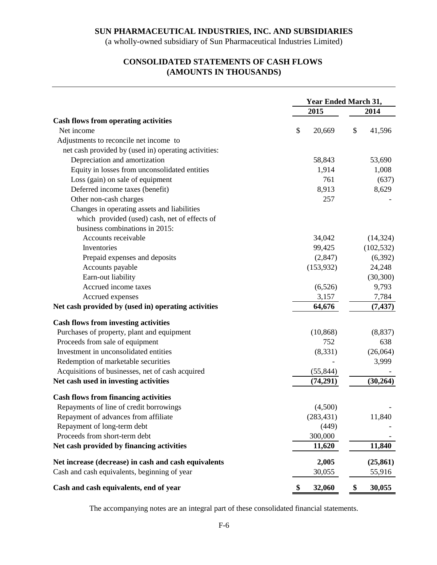(a wholly-owned subsidiary of Sun Pharmaceutical Industries Limited)

# **CONSOLIDATED STATEMENTS OF CASH FLOWS (AMOUNTS IN THOUSANDS)**

|                                                      | Year Ended March 31, |              |  |
|------------------------------------------------------|----------------------|--------------|--|
|                                                      | 2015                 | 2014         |  |
| <b>Cash flows from operating activities</b>          |                      |              |  |
| Net income                                           | \$<br>20,669         | \$<br>41,596 |  |
| Adjustments to reconcile net income to               |                      |              |  |
| net cash provided by (used in) operating activities: |                      |              |  |
| Depreciation and amortization                        | 58,843               | 53,690       |  |
| Equity in losses from unconsolidated entities        | 1,914                | 1,008        |  |
| Loss (gain) on sale of equipment                     | 761                  | (637)        |  |
| Deferred income taxes (benefit)                      | 8,913                | 8,629        |  |
| Other non-cash charges                               | 257                  |              |  |
| Changes in operating assets and liabilities          |                      |              |  |
| which provided (used) cash, net of effects of        |                      |              |  |
| business combinations in 2015:                       |                      |              |  |
| Accounts receivable                                  | 34,042               | (14, 324)    |  |
| Inventories                                          | 99,425               | (102, 532)   |  |
| Prepaid expenses and deposits                        | (2, 847)             | (6,392)      |  |
| Accounts payable                                     | (153,932)            | 24,248       |  |
| Earn-out liability                                   |                      | (30, 300)    |  |
| Accrued income taxes                                 | (6,526)              | 9,793        |  |
| Accrued expenses                                     | 3,157                | 7,784        |  |
| Net cash provided by (used in) operating activities  | 64,676               | (7, 437)     |  |
| <b>Cash flows from investing activities</b>          |                      |              |  |
| Purchases of property, plant and equipment           | (10, 868)            | (8,837)      |  |
| Proceeds from sale of equipment                      | 752                  | 638          |  |
| Investment in unconsolidated entities                | (8, 331)             | (26,064)     |  |
| Redemption of marketable securities                  |                      | 3,999        |  |
| Acquisitions of businesses, net of cash acquired     | (55, 844)            |              |  |
| Net cash used in investing activities                | (74, 291)            | (30, 264)    |  |
|                                                      |                      |              |  |
| <b>Cash flows from financing activities</b>          |                      |              |  |
| Repayments of line of credit borrowings              | (4,500)              |              |  |
| Repayment of advances from affiliate                 | (283, 431)           | 11,840       |  |
| Repayment of long-term debt                          | (449)                |              |  |
| Proceeds from short-term debt                        | 300,000              |              |  |
| Net cash provided by financing activities            | 11,620               | 11,840       |  |
| Net increase (decrease) in cash and cash equivalents | 2,005                | (25, 861)    |  |
| Cash and cash equivalents, beginning of year         | 30,055               | 55,916       |  |
| Cash and cash equivalents, end of year               | \$<br>32,060         | \$<br>30,055 |  |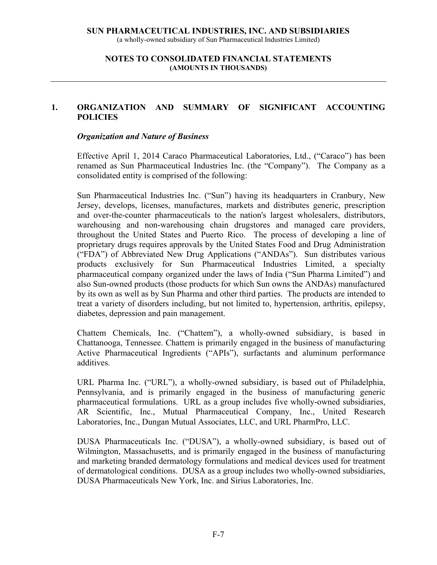(a wholly-owned subsidiary of Sun Pharmaceutical Industries Limited)

#### **NOTES TO CONSOLIDATED FINANCIAL STATEMENTS (AMOUNTS IN THOUSANDS)**

## **1. ORGANIZATION AND SUMMARY OF SIGNIFICANT ACCOUNTING POLICIES**

## *Organization and Nature of Business*

Effective April 1, 2014 Caraco Pharmaceutical Laboratories, Ltd., ("Caraco") has been renamed as Sun Pharmaceutical Industries Inc. (the "Company"). The Company as a consolidated entity is comprised of the following:

Sun Pharmaceutical Industries Inc. ("Sun") having its headquarters in Cranbury, New Jersey, develops, licenses, manufactures, markets and distributes generic, prescription and over-the-counter pharmaceuticals to the nation's largest wholesalers, distributors, warehousing and non-warehousing chain drugstores and managed care providers, throughout the United States and Puerto Rico. The process of developing a line of proprietary drugs requires approvals by the United States Food and Drug Administration ("FDA") of Abbreviated New Drug Applications ("ANDAs"). Sun distributes various products exclusively for Sun Pharmaceutical Industries Limited, a specialty pharmaceutical company organized under the laws of India ("Sun Pharma Limited") and also Sun-owned products (those products for which Sun owns the ANDAs) manufactured by its own as well as by Sun Pharma and other third parties. The products are intended to treat a variety of disorders including, but not limited to, hypertension, arthritis, epilepsy, diabetes, depression and pain management.

Chattem Chemicals, Inc. ("Chattem"), a wholly-owned subsidiary, is based in Chattanooga, Tennessee. Chattem is primarily engaged in the business of manufacturing Active Pharmaceutical Ingredients ("APIs"), surfactants and aluminum performance additives.

URL Pharma Inc. ("URL"), a wholly-owned subsidiary, is based out of Philadelphia, Pennsylvania, and is primarily engaged in the business of manufacturing generic pharmaceutical formulations. URL as a group includes five wholly-owned subsidiaries, AR Scientific, Inc., Mutual Pharmaceutical Company, Inc., United Research Laboratories, Inc., Dungan Mutual Associates, LLC, and URL PharmPro, LLC.

DUSA Pharmaceuticals Inc. ("DUSA"), a wholly-owned subsidiary, is based out of Wilmington, Massachusetts, and is primarily engaged in the business of manufacturing and marketing branded dermatology formulations and medical devices used for treatment of dermatological conditions. DUSA as a group includes two wholly-owned subsidiaries, DUSA Pharmaceuticals New York, Inc. and Sirius Laboratories, Inc.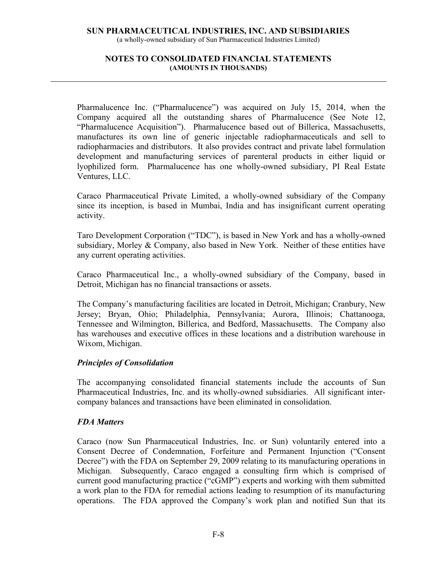(a wholly-owned subsidiary of Sun Pharmaceutical Industries Limited)

## **NOTES TO CONSOLIDATED FINANCIAL STATEMENTS (AMOUNTS IN THOUSANDS)**

Pharmalucence Inc. ("Pharmalucence") was acquired on July 15, 2014, when the Company acquired all the outstanding shares of Pharmalucence (See Note 12, "Pharmalucence Acquisition"). Pharmalucence based out of Billerica, Massachusetts, manufactures its own line of generic injectable radiopharmaceuticals and sell to radiopharmacies and distributors. It also provides contract and private label formulation development and manufacturing services of parenteral products in either liquid or lyophilized form. Pharmalucence has one wholly-owned subsidiary, PI Real Estate Ventures, LLC.

Caraco Pharmaceutical Private Limited, a wholly-owned subsidiary of the Company since its inception, is based in Mumbai, India and has insignificant current operating activity.

Taro Development Corporation ("TDC"), is based in New York and has a wholly-owned subsidiary, Morley & Company, also based in New York. Neither of these entities have any current operating activities.

Caraco Pharmaceutical Inc., a wholly-owned subsidiary of the Company, based in Detroit, Michigan has no financial transactions or assets.

The Company's manufacturing facilities are located in Detroit, Michigan; Cranbury, New Jersey; Bryan, Ohio; Philadelphia, Pennsylvania; Aurora, Illinois; Chattanooga, Tennessee and Wilmington, Billerica, and Bedford, Massachusetts. The Company also has warehouses and executive offices in these locations and a distribution warehouse in Wixom, Michigan.

## *Principles of Consolidation*

The accompanying consolidated financial statements include the accounts of Sun Pharmaceutical Industries, Inc. and its wholly-owned subsidiaries. All significant intercompany balances and transactions have been eliminated in consolidation.

## *FDA Matters*

Caraco (now Sun Pharmaceutical Industries, Inc. or Sun) voluntarily entered into a Consent Decree of Condemnation, Forfeiture and Permanent Injunction ("Consent Decree") with the FDA on September 29, 2009 relating to its manufacturing operations in Michigan. Subsequently, Caraco engaged a consulting firm which is comprised of current good manufacturing practice ("cGMP") experts and working with them submitted a work plan to the FDA for remedial actions leading to resumption of its manufacturing operations. The FDA approved the Company's work plan and notified Sun that its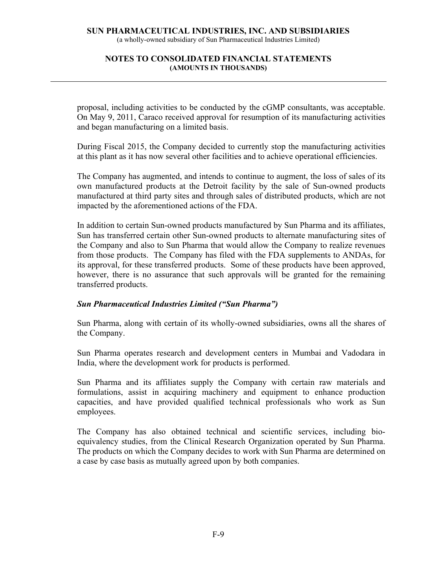## **NOTES TO CONSOLIDATED FINANCIAL STATEMENTS (AMOUNTS IN THOUSANDS)**

proposal, including activities to be conducted by the cGMP consultants, was acceptable. On May 9, 2011, Caraco received approval for resumption of its manufacturing activities and began manufacturing on a limited basis.

During Fiscal 2015, the Company decided to currently stop the manufacturing activities at this plant as it has now several other facilities and to achieve operational efficiencies.

The Company has augmented, and intends to continue to augment, the loss of sales of its own manufactured products at the Detroit facility by the sale of Sun-owned products manufactured at third party sites and through sales of distributed products, which are not impacted by the aforementioned actions of the FDA.

In addition to certain Sun-owned products manufactured by Sun Pharma and its affiliates, Sun has transferred certain other Sun-owned products to alternate manufacturing sites of the Company and also to Sun Pharma that would allow the Company to realize revenues from those products. The Company has filed with the FDA supplements to ANDAs, for its approval, for these transferred products. Some of these products have been approved, however, there is no assurance that such approvals will be granted for the remaining transferred products.

## *Sun Pharmaceutical Industries Limited ("Sun Pharma")*

Sun Pharma, along with certain of its wholly-owned subsidiaries, owns all the shares of the Company.

Sun Pharma operates research and development centers in Mumbai and Vadodara in India, where the development work for products is performed.

Sun Pharma and its affiliates supply the Company with certain raw materials and formulations, assist in acquiring machinery and equipment to enhance production capacities, and have provided qualified technical professionals who work as Sun employees.

The Company has also obtained technical and scientific services, including bioequivalency studies, from the Clinical Research Organization operated by Sun Pharma. The products on which the Company decides to work with Sun Pharma are determined on a case by case basis as mutually agreed upon by both companies.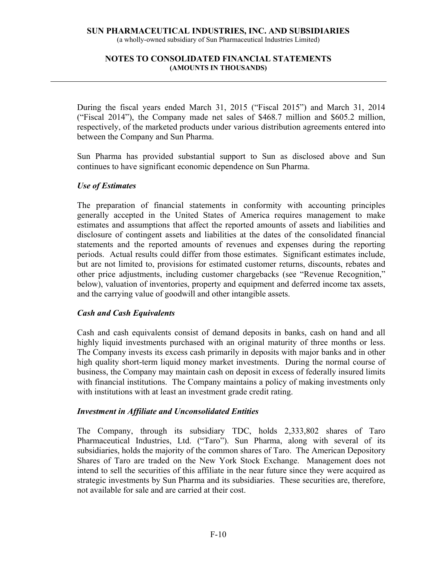## **NOTES TO CONSOLIDATED FINANCIAL STATEMENTS (AMOUNTS IN THOUSANDS)**

During the fiscal years ended March 31, 2015 ("Fiscal 2015") and March 31, 2014 ("Fiscal 2014"), the Company made net sales of \$468.7 million and \$605.2 million, respectively, of the marketed products under various distribution agreements entered into between the Company and Sun Pharma.

Sun Pharma has provided substantial support to Sun as disclosed above and Sun continues to have significant economic dependence on Sun Pharma.

## *Use of Estimates*

The preparation of financial statements in conformity with accounting principles generally accepted in the United States of America requires management to make estimates and assumptions that affect the reported amounts of assets and liabilities and disclosure of contingent assets and liabilities at the dates of the consolidated financial statements and the reported amounts of revenues and expenses during the reporting periods. Actual results could differ from those estimates. Significant estimates include, but are not limited to, provisions for estimated customer returns, discounts, rebates and other price adjustments, including customer chargebacks (see "Revenue Recognition," below), valuation of inventories, property and equipment and deferred income tax assets, and the carrying value of goodwill and other intangible assets.

## *Cash and Cash Equivalents*

Cash and cash equivalents consist of demand deposits in banks, cash on hand and all highly liquid investments purchased with an original maturity of three months or less. The Company invests its excess cash primarily in deposits with major banks and in other high quality short-term liquid money market investments. During the normal course of business, the Company may maintain cash on deposit in excess of federally insured limits with financial institutions. The Company maintains a policy of making investments only with institutions with at least an investment grade credit rating.

## *Investment in Affiliate and Unconsolidated Entities*

The Company, through its subsidiary TDC, holds 2,333,802 shares of Taro Pharmaceutical Industries, Ltd. ("Taro"). Sun Pharma, along with several of its subsidiaries, holds the majority of the common shares of Taro. The American Depository Shares of Taro are traded on the New York Stock Exchange. Management does not intend to sell the securities of this affiliate in the near future since they were acquired as strategic investments by Sun Pharma and its subsidiaries. These securities are, therefore, not available for sale and are carried at their cost.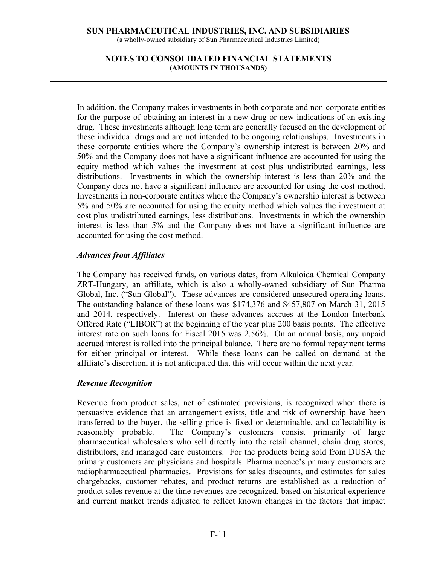(a wholly-owned subsidiary of Sun Pharmaceutical Industries Limited)

#### **NOTES TO CONSOLIDATED FINANCIAL STATEMENTS (AMOUNTS IN THOUSANDS)**

In addition, the Company makes investments in both corporate and non-corporate entities for the purpose of obtaining an interest in a new drug or new indications of an existing drug. These investments although long term are generally focused on the development of these individual drugs and are not intended to be ongoing relationships. Investments in these corporate entities where the Company's ownership interest is between 20% and 50% and the Company does not have a significant influence are accounted for using the equity method which values the investment at cost plus undistributed earnings, less distributions. Investments in which the ownership interest is less than 20% and the Company does not have a significant influence are accounted for using the cost method. Investments in non-corporate entities where the Company's ownership interest is between 5% and 50% are accounted for using the equity method which values the investment at cost plus undistributed earnings, less distributions. Investments in which the ownership interest is less than 5% and the Company does not have a significant influence are accounted for using the cost method.

## *Advances from Affiliates*

The Company has received funds, on various dates, from Alkaloida Chemical Company ZRT-Hungary, an affiliate, which is also a wholly-owned subsidiary of Sun Pharma Global, Inc. ("Sun Global"). These advances are considered unsecured operating loans. The outstanding balance of these loans was \$174,376 and \$457,807 on March 31, 2015 and 2014, respectively. Interest on these advances accrues at the London Interbank Offered Rate ("LIBOR") at the beginning of the year plus 200 basis points. The effective interest rate on such loans for Fiscal 2015 was 2.56%. On an annual basis, any unpaid accrued interest is rolled into the principal balance. There are no formal repayment terms for either principal or interest. While these loans can be called on demand at the affiliate's discretion, it is not anticipated that this will occur within the next year.

## *Revenue Recognition*

Revenue from product sales, net of estimated provisions, is recognized when there is persuasive evidence that an arrangement exists, title and risk of ownership have been transferred to the buyer, the selling price is fixed or determinable, and collectability is reasonably probable. The Company's customers consist primarily of large pharmaceutical wholesalers who sell directly into the retail channel, chain drug stores, distributors, and managed care customers. For the products being sold from DUSA the primary customers are physicians and hospitals. Pharmalucence's primary customers are radiopharmaceutical pharmacies. Provisions for sales discounts, and estimates for sales chargebacks, customer rebates, and product returns are established as a reduction of product sales revenue at the time revenues are recognized, based on historical experience and current market trends adjusted to reflect known changes in the factors that impact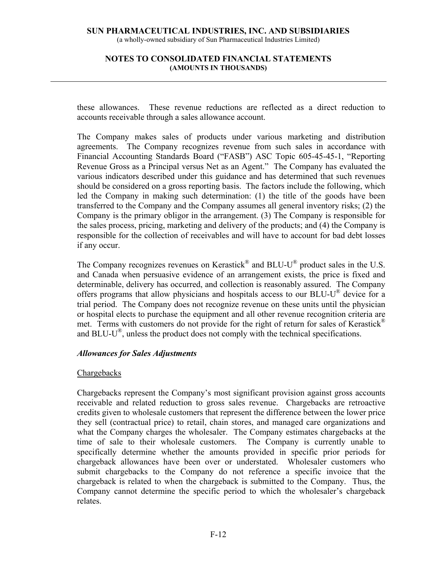(a wholly-owned subsidiary of Sun Pharmaceutical Industries Limited)

#### **NOTES TO CONSOLIDATED FINANCIAL STATEMENTS (AMOUNTS IN THOUSANDS)**

these allowances. These revenue reductions are reflected as a direct reduction to accounts receivable through a sales allowance account.

The Company makes sales of products under various marketing and distribution agreements. The Company recognizes revenue from such sales in accordance with Financial Accounting Standards Board ("FASB") ASC Topic 605-45-45-1, "Reporting Revenue Gross as a Principal versus Net as an Agent." The Company has evaluated the various indicators described under this guidance and has determined that such revenues should be considered on a gross reporting basis. The factors include the following, which led the Company in making such determination: (1) the title of the goods have been transferred to the Company and the Company assumes all general inventory risks; (2) the Company is the primary obligor in the arrangement. (3) The Company is responsible for the sales process, pricing, marketing and delivery of the products; and (4) the Company is responsible for the collection of receivables and will have to account for bad debt losses if any occur.

The Company recognizes revenues on Kerastick<sup>®</sup> and BLU-U<sup>®</sup> product sales in the U.S. and Canada when persuasive evidence of an arrangement exists, the price is fixed and determinable, delivery has occurred, and collection is reasonably assured. The Company offers programs that allow physicians and hospitals access to our BLU-U® device for a trial period. The Company does not recognize revenue on these units until the physician or hospital elects to purchase the equipment and all other revenue recognition criteria are met. Terms with customers do not provide for the right of return for sales of Kerastick<sup>®</sup> and BLU-U $^{\circ}$ , unless the product does not comply with the technical specifications.

## *Allowances for Sales Adjustments*

## **Chargebacks**

Chargebacks represent the Company's most significant provision against gross accounts receivable and related reduction to gross sales revenue. Chargebacks are retroactive credits given to wholesale customers that represent the difference between the lower price they sell (contractual price) to retail, chain stores, and managed care organizations and what the Company charges the wholesaler. The Company estimates chargebacks at the time of sale to their wholesale customers. The Company is currently unable to specifically determine whether the amounts provided in specific prior periods for chargeback allowances have been over or understated. Wholesaler customers who submit chargebacks to the Company do not reference a specific invoice that the chargeback is related to when the chargeback is submitted to the Company. Thus, the Company cannot determine the specific period to which the wholesaler's chargeback relates.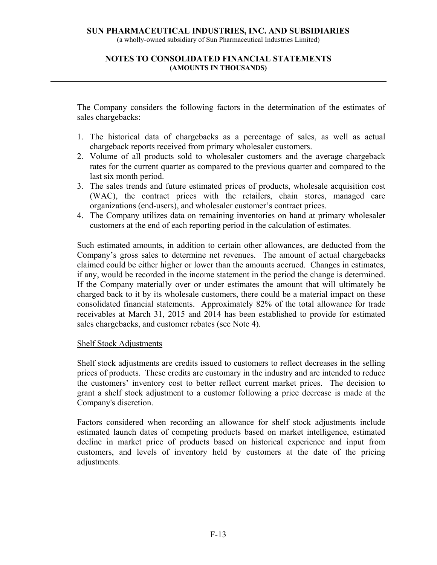## **NOTES TO CONSOLIDATED FINANCIAL STATEMENTS (AMOUNTS IN THOUSANDS)**

The Company considers the following factors in the determination of the estimates of sales chargebacks:

- 1. The historical data of chargebacks as a percentage of sales, as well as actual chargeback reports received from primary wholesaler customers.
- 2. Volume of all products sold to wholesaler customers and the average chargeback rates for the current quarter as compared to the previous quarter and compared to the last six month period.
- 3. The sales trends and future estimated prices of products, wholesale acquisition cost (WAC), the contract prices with the retailers, chain stores, managed care organizations (end-users), and wholesaler customer's contract prices.
- 4. The Company utilizes data on remaining inventories on hand at primary wholesaler customers at the end of each reporting period in the calculation of estimates.

Such estimated amounts, in addition to certain other allowances, are deducted from the Company's gross sales to determine net revenues. The amount of actual chargebacks claimed could be either higher or lower than the amounts accrued. Changes in estimates, if any, would be recorded in the income statement in the period the change is determined. If the Company materially over or under estimates the amount that will ultimately be charged back to it by its wholesale customers, there could be a material impact on these consolidated financial statements. Approximately 82% of the total allowance for trade receivables at March 31, 2015 and 2014 has been established to provide for estimated sales chargebacks, and customer rebates (see Note 4).

## Shelf Stock Adjustments

Shelf stock adjustments are credits issued to customers to reflect decreases in the selling prices of products. These credits are customary in the industry and are intended to reduce the customers' inventory cost to better reflect current market prices. The decision to grant a shelf stock adjustment to a customer following a price decrease is made at the Company's discretion.

Factors considered when recording an allowance for shelf stock adjustments include estimated launch dates of competing products based on market intelligence, estimated decline in market price of products based on historical experience and input from customers, and levels of inventory held by customers at the date of the pricing adjustments.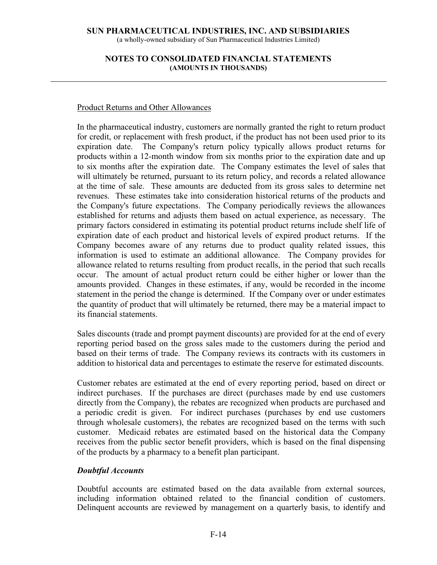(a wholly-owned subsidiary of Sun Pharmaceutical Industries Limited)

#### **NOTES TO CONSOLIDATED FINANCIAL STATEMENTS (AMOUNTS IN THOUSANDS)**

## Product Returns and Other Allowances

In the pharmaceutical industry, customers are normally granted the right to return product for credit, or replacement with fresh product, if the product has not been used prior to its expiration date. The Company's return policy typically allows product returns for products within a 12-month window from six months prior to the expiration date and up to six months after the expiration date. The Company estimates the level of sales that will ultimately be returned, pursuant to its return policy, and records a related allowance at the time of sale. These amounts are deducted from its gross sales to determine net revenues. These estimates take into consideration historical returns of the products and the Company's future expectations. The Company periodically reviews the allowances established for returns and adjusts them based on actual experience, as necessary. The primary factors considered in estimating its potential product returns include shelf life of expiration date of each product and historical levels of expired product returns. If the Company becomes aware of any returns due to product quality related issues, this information is used to estimate an additional allowance. The Company provides for allowance related to returns resulting from product recalls, in the period that such recalls occur. The amount of actual product return could be either higher or lower than the amounts provided. Changes in these estimates, if any, would be recorded in the income statement in the period the change is determined. If the Company over or under estimates the quantity of product that will ultimately be returned, there may be a material impact to its financial statements.

Sales discounts (trade and prompt payment discounts) are provided for at the end of every reporting period based on the gross sales made to the customers during the period and based on their terms of trade. The Company reviews its contracts with its customers in addition to historical data and percentages to estimate the reserve for estimated discounts.

Customer rebates are estimated at the end of every reporting period, based on direct or indirect purchases. If the purchases are direct (purchases made by end use customers directly from the Company), the rebates are recognized when products are purchased and a periodic credit is given. For indirect purchases (purchases by end use customers through wholesale customers), the rebates are recognized based on the terms with such customer. Medicaid rebates are estimated based on the historical data the Company receives from the public sector benefit providers, which is based on the final dispensing of the products by a pharmacy to a benefit plan participant.

## *Doubtful Accounts*

Doubtful accounts are estimated based on the data available from external sources, including information obtained related to the financial condition of customers. Delinquent accounts are reviewed by management on a quarterly basis, to identify and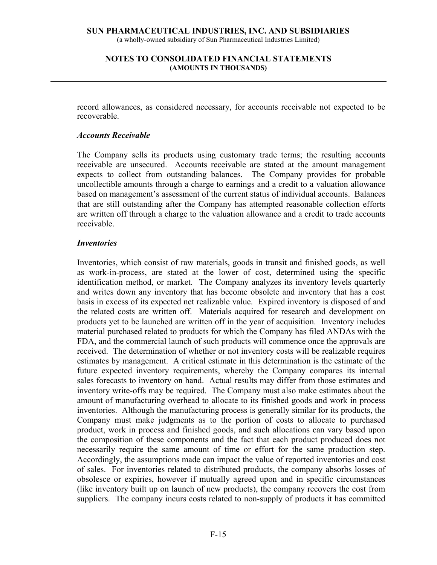#### **NOTES TO CONSOLIDATED FINANCIAL STATEMENTS (AMOUNTS IN THOUSANDS)**

record allowances, as considered necessary, for accounts receivable not expected to be recoverable.

#### *Accounts Receivable*

The Company sells its products using customary trade terms; the resulting accounts receivable are unsecured. Accounts receivable are stated at the amount management expects to collect from outstanding balances. The Company provides for probable uncollectible amounts through a charge to earnings and a credit to a valuation allowance based on management's assessment of the current status of individual accounts. Balances that are still outstanding after the Company has attempted reasonable collection efforts are written off through a charge to the valuation allowance and a credit to trade accounts receivable.

## *Inventories*

Inventories, which consist of raw materials, goods in transit and finished goods, as well as work-in-process, are stated at the lower of cost, determined using the specific identification method, or market. The Company analyzes its inventory levels quarterly and writes down any inventory that has become obsolete and inventory that has a cost basis in excess of its expected net realizable value. Expired inventory is disposed of and the related costs are written off. Materials acquired for research and development on products yet to be launched are written off in the year of acquisition. Inventory includes material purchased related to products for which the Company has filed ANDAs with the FDA, and the commercial launch of such products will commence once the approvals are received. The determination of whether or not inventory costs will be realizable requires estimates by management. A critical estimate in this determination is the estimate of the future expected inventory requirements, whereby the Company compares its internal sales forecasts to inventory on hand. Actual results may differ from those estimates and inventory write-offs may be required. The Company must also make estimates about the amount of manufacturing overhead to allocate to its finished goods and work in process inventories. Although the manufacturing process is generally similar for its products, the Company must make judgments as to the portion of costs to allocate to purchased product, work in process and finished goods, and such allocations can vary based upon the composition of these components and the fact that each product produced does not necessarily require the same amount of time or effort for the same production step. Accordingly, the assumptions made can impact the value of reported inventories and cost of sales. For inventories related to distributed products, the company absorbs losses of obsolesce or expiries, however if mutually agreed upon and in specific circumstances (like inventory built up on launch of new products), the company recovers the cost from suppliers. The company incurs costs related to non-supply of products it has committed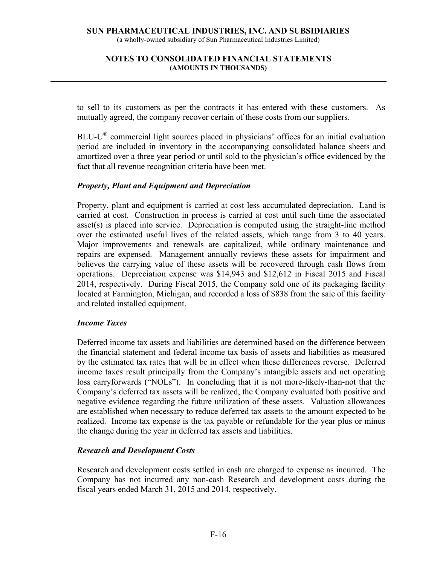## **NOTES TO CONSOLIDATED FINANCIAL STATEMENTS (AMOUNTS IN THOUSANDS)**

to sell to its customers as per the contracts it has entered with these customers. As mutually agreed, the company recover certain of these costs from our suppliers.

 $BLU-U^{\otimes}$  commercial light sources placed in physicians' offices for an initial evaluation period are included in inventory in the accompanying consolidated balance sheets and amortized over a three year period or until sold to the physician's office evidenced by the fact that all revenue recognition criteria have been met.

## *Property, Plant and Equipment and Depreciation*

Property, plant and equipment is carried at cost less accumulated depreciation. Land is carried at cost. Construction in process is carried at cost until such time the associated asset(s) is placed into service. Depreciation is computed using the straight-line method over the estimated useful lives of the related assets, which range from 3 to 40 years. Major improvements and renewals are capitalized, while ordinary maintenance and repairs are expensed. Management annually reviews these assets for impairment and believes the carrying value of these assets will be recovered through cash flows from operations. Depreciation expense was \$14,943 and \$12,612 in Fiscal 2015 and Fiscal 2014, respectively. During Fiscal 2015, the Company sold one of its packaging facility located at Farmington, Michigan, and recorded a loss of \$838 from the sale of this facility and related installed equipment.

## *Income Taxes*

Deferred income tax assets and liabilities are determined based on the difference between the financial statement and federal income tax basis of assets and liabilities as measured by the estimated tax rates that will be in effect when these differences reverse. Deferred income taxes result principally from the Company's intangible assets and net operating loss carryforwards ("NOLs"). In concluding that it is not more-likely-than-not that the Company's deferred tax assets will be realized, the Company evaluated both positive and negative evidence regarding the future utilization of these assets. Valuation allowances are established when necessary to reduce deferred tax assets to the amount expected to be realized. Income tax expense is the tax payable or refundable for the year plus or minus the change during the year in deferred tax assets and liabilities.

## *Research and Development Costs*

Research and development costs settled in cash are charged to expense as incurred. The Company has not incurred any non-cash Research and development costs during the fiscal years ended March 31, 2015 and 2014, respectively.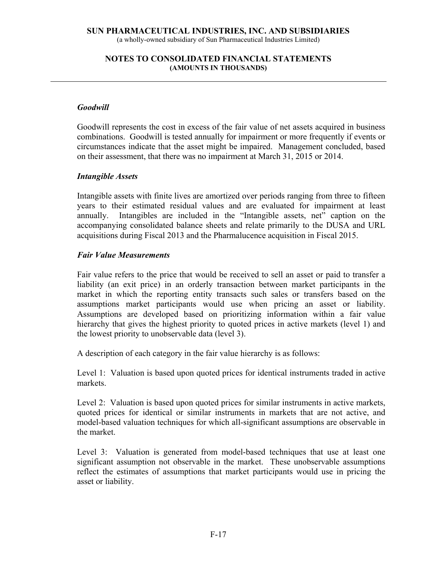## **NOTES TO CONSOLIDATED FINANCIAL STATEMENTS (AMOUNTS IN THOUSANDS)**

# *Goodwill*

Goodwill represents the cost in excess of the fair value of net assets acquired in business combinations. Goodwill is tested annually for impairment or more frequently if events or circumstances indicate that the asset might be impaired. Management concluded, based on their assessment, that there was no impairment at March 31, 2015 or 2014.

## *Intangible Assets*

Intangible assets with finite lives are amortized over periods ranging from three to fifteen years to their estimated residual values and are evaluated for impairment at least annually. Intangibles are included in the "Intangible assets, net" caption on the accompanying consolidated balance sheets and relate primarily to the DUSA and URL acquisitions during Fiscal 2013 and the Pharmalucence acquisition in Fiscal 2015.

## *Fair Value Measurements*

Fair value refers to the price that would be received to sell an asset or paid to transfer a liability (an exit price) in an orderly transaction between market participants in the market in which the reporting entity transacts such sales or transfers based on the assumptions market participants would use when pricing an asset or liability. Assumptions are developed based on prioritizing information within a fair value hierarchy that gives the highest priority to quoted prices in active markets (level 1) and the lowest priority to unobservable data (level 3).

A description of each category in the fair value hierarchy is as follows:

Level 1: Valuation is based upon quoted prices for identical instruments traded in active markets.

Level 2: Valuation is based upon quoted prices for similar instruments in active markets, quoted prices for identical or similar instruments in markets that are not active, and model-based valuation techniques for which all-significant assumptions are observable in the market.

Level 3: Valuation is generated from model-based techniques that use at least one significant assumption not observable in the market. These unobservable assumptions reflect the estimates of assumptions that market participants would use in pricing the asset or liability.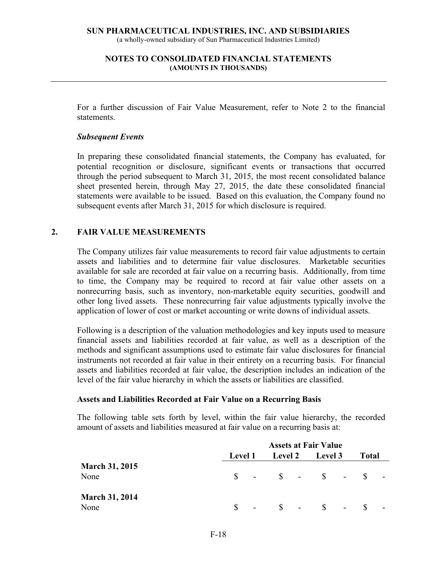## **NOTES TO CONSOLIDATED FINANCIAL STATEMENTS (AMOUNTS IN THOUSANDS)**

For a further discussion of Fair Value Measurement, refer to Note 2 to the financial statements.

#### *Subsequent Events*

In preparing these consolidated financial statements, the Company has evaluated, for potential recognition or disclosure, significant events or transactions that occurred through the period subsequent to March 31, 2015, the most recent consolidated balance sheet presented herein, through May 27, 2015, the date these consolidated financial statements were available to be issued. Based on this evaluation, the Company found no subsequent events after March 31, 2015 for which disclosure is required.

# **2. FAIR VALUE MEASUREMENTS**

The Company utilizes fair value measurements to record fair value adjustments to certain assets and liabilities and to determine fair value disclosures. Marketable securities available for sale are recorded at fair value on a recurring basis. Additionally, from time to time, the Company may be required to record at fair value other assets on a nonrecurring basis, such as inventory, non-marketable equity securities, goodwill and other long lived assets. These nonrecurring fair value adjustments typically involve the application of lower of cost or market accounting or write downs of individual assets.

Following is a description of the valuation methodologies and key inputs used to measure financial assets and liabilities recorded at fair value, as well as a description of the methods and significant assumptions used to estimate fair value disclosures for financial instruments not recorded at fair value in their entirety on a recurring basis. For financial assets and liabilities recorded at fair value, the description includes an indication of the level of the fair value hierarchy in which the assets or liabilities are classified.

#### **Assets and Liabilities Recorded at Fair Value on a Recurring Basis**

The following table sets forth by level, within the fair value hierarchy, the recorded amount of assets and liabilities measured at fair value on a recurring basis at:

|                               | <b>Assets at Fair Value</b> |                               |                                |              |  |
|-------------------------------|-----------------------------|-------------------------------|--------------------------------|--------------|--|
|                               | Level 1                     | <b>Level 2</b>                | Level 3                        | <b>Total</b> |  |
| <b>March 31, 2015</b><br>None | $S =$                       | $\mathbb{S}$ - $\mathbb{S}$ - |                                |              |  |
| <b>March 31, 2014</b><br>None | $\blacksquare$              | $\mathbb{S}$ -                | $\mathbb{S}$<br>$\blacksquare$ |              |  |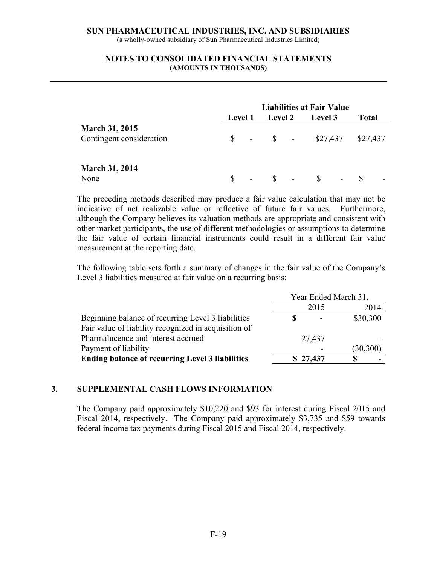(a wholly-owned subsidiary of Sun Pharmaceutical Industries Limited)

#### **NOTES TO CONSOLIDATED FINANCIAL STATEMENTS (AMOUNTS IN THOUSANDS)**

|                                                   | <b>Liabilities at Fair Value</b> |                |                          |          |   |              |  |
|---------------------------------------------------|----------------------------------|----------------|--------------------------|----------|---|--------------|--|
|                                                   | <b>Level 1</b>                   | <b>Level 2</b> |                          | Level 3  |   | <b>Total</b> |  |
| <b>March 31, 2015</b><br>Contingent consideration | <sup>S</sup><br>$\sim$           | $\mathcal{S}$  | $\blacksquare$           | \$27,437 |   | \$27,437     |  |
| <b>March 31, 2014</b><br>None                     | $\qquad \qquad \blacksquare$     | $\mathbb{S}$   | $\overline{\phantom{a}}$ |          | - |              |  |

The preceding methods described may produce a fair value calculation that may not be indicative of net realizable value or reflective of future fair values. Furthermore, although the Company believes its valuation methods are appropriate and consistent with other market participants, the use of different methodologies or assumptions to determine the fair value of certain financial instruments could result in a different fair value measurement at the reporting date.

The following table sets forth a summary of changes in the fair value of the Company's Level 3 liabilities measured at fair value on a recurring basis:

|                                                        | Year Ended March 31, |          |           |  |
|--------------------------------------------------------|----------------------|----------|-----------|--|
|                                                        |                      | 2015     | 2014      |  |
| Beginning balance of recurring Level 3 liabilities     | S                    |          | \$30,300  |  |
| Fair value of liability recognized in acquisition of   |                      |          |           |  |
| Pharmalucence and interest accrued                     |                      | 27,437   |           |  |
| Payment of liability                                   |                      |          | (30, 300) |  |
| <b>Ending balance of recurring Level 3 liabilities</b> |                      | \$27,437 |           |  |

# **3. SUPPLEMENTAL CASH FLOWS INFORMATION**

The Company paid approximately \$10,220 and \$93 for interest during Fiscal 2015 and Fiscal 2014, respectively. The Company paid approximately \$3,735 and \$59 towards federal income tax payments during Fiscal 2015 and Fiscal 2014, respectively.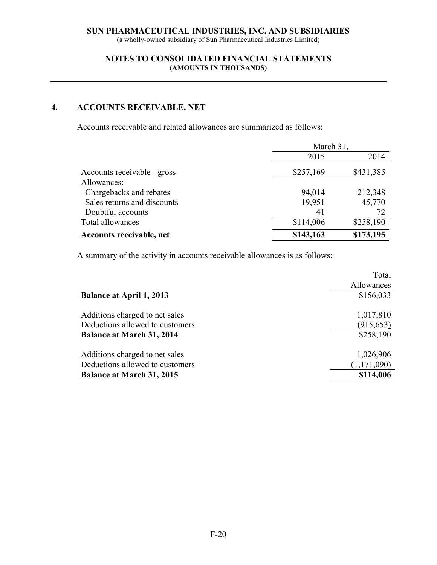(a wholly-owned subsidiary of Sun Pharmaceutical Industries Limited)

#### **NOTES TO CONSOLIDATED FINANCIAL STATEMENTS (AMOUNTS IN THOUSANDS)**

# **4. ACCOUNTS RECEIVABLE, NET**

Accounts receivable and related allowances are summarized as follows:

|                                 | March 31, |           |  |
|---------------------------------|-----------|-----------|--|
|                                 | 2015      | 2014      |  |
| Accounts receivable - gross     | \$257,169 | \$431,385 |  |
| Allowances:                     |           |           |  |
| Chargebacks and rebates         | 94,014    | 212,348   |  |
| Sales returns and discounts     | 19,951    | 45,770    |  |
| Doubtful accounts               | 41        | 72        |  |
| Total allowances                | \$114,006 | \$258,190 |  |
| <b>Accounts receivable, net</b> | \$143,163 | \$173,195 |  |

A summary of the activity in accounts receivable allowances is as follows:

|                                  | Total       |
|----------------------------------|-------------|
|                                  | Allowances  |
| <b>Balance at April 1, 2013</b>  | \$156,033   |
|                                  |             |
| Additions charged to net sales   | 1,017,810   |
| Deductions allowed to customers  | (915, 653)  |
| <b>Balance at March 31, 2014</b> | \$258,190   |
|                                  |             |
| Additions charged to net sales   | 1,026,906   |
| Deductions allowed to customers  | (1,171,090) |
| <b>Balance at March 31, 2015</b> | \$114,006   |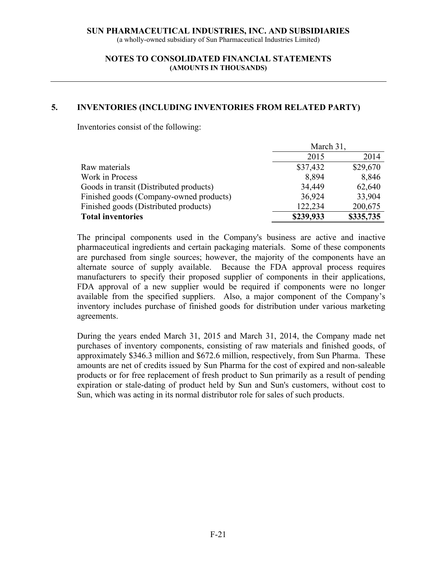(a wholly-owned subsidiary of Sun Pharmaceutical Industries Limited)

#### **NOTES TO CONSOLIDATED FINANCIAL STATEMENTS (AMOUNTS IN THOUSANDS)**

## **5. INVENTORIES (INCLUDING INVENTORIES FROM RELATED PARTY)**

Inventories consist of the following:

|                                         | March 31, |           |  |
|-----------------------------------------|-----------|-----------|--|
|                                         | 2015      | 2014      |  |
| Raw materials                           | \$37,432  | \$29,670  |  |
| Work in Process                         | 8,894     | 8,846     |  |
| Goods in transit (Distributed products) | 34,449    | 62,640    |  |
| Finished goods (Company-owned products) | 36,924    | 33,904    |  |
| Finished goods (Distributed products)   | 122,234   | 200,675   |  |
| <b>Total inventories</b>                | \$239,933 | \$335,735 |  |

The principal components used in the Company's business are active and inactive pharmaceutical ingredients and certain packaging materials. Some of these components are purchased from single sources; however, the majority of the components have an alternate source of supply available. Because the FDA approval process requires manufacturers to specify their proposed supplier of components in their applications, FDA approval of a new supplier would be required if components were no longer available from the specified suppliers. Also, a major component of the Company's inventory includes purchase of finished goods for distribution under various marketing agreements.

During the years ended March 31, 2015 and March 31, 2014, the Company made net purchases of inventory components, consisting of raw materials and finished goods, of approximately \$346.3 million and \$672.6 million, respectively, from Sun Pharma. These amounts are net of credits issued by Sun Pharma for the cost of expired and non-saleable products or for free replacement of fresh product to Sun primarily as a result of pending expiration or stale-dating of product held by Sun and Sun's customers, without cost to Sun, which was acting in its normal distributor role for sales of such products.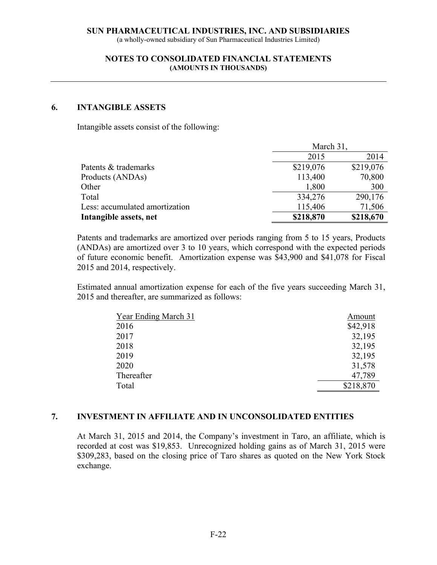#### **NOTES TO CONSOLIDATED FINANCIAL STATEMENTS (AMOUNTS IN THOUSANDS)**

## **6. INTANGIBLE ASSETS**

Intangible assets consist of the following:

|                                | March 31, |           |  |
|--------------------------------|-----------|-----------|--|
|                                | 2015      | 2014      |  |
| Patents & trademarks           | \$219,076 | \$219,076 |  |
| Products (ANDAs)               | 113,400   | 70,800    |  |
| Other                          | 1,800     | 300       |  |
| Total                          | 334,276   | 290,176   |  |
| Less: accumulated amortization | 115,406   | 71,506    |  |
| Intangible assets, net         | \$218,870 | \$218,670 |  |

Patents and trademarks are amortized over periods ranging from 5 to 15 years, Products (ANDAs) are amortized over 3 to 10 years, which correspond with the expected periods of future economic benefit. Amortization expense was \$43,900 and \$41,078 for Fiscal 2015 and 2014, respectively.

Estimated annual amortization expense for each of the five years succeeding March 31, 2015 and thereafter, are summarized as follows:

| Year Ending March 31 | Amount    |
|----------------------|-----------|
| 2016                 | \$42,918  |
| 2017                 | 32,195    |
| 2018                 | 32,195    |
| 2019                 | 32,195    |
| 2020                 | 31,578    |
| Thereafter           | 47,789    |
| Total                | \$218,870 |

## **7. INVESTMENT IN AFFILIATE AND IN UNCONSOLIDATED ENTITIES**

At March 31, 2015 and 2014, the Company's investment in Taro, an affiliate, which is recorded at cost was \$19,853. Unrecognized holding gains as of March 31, 2015 were \$309,283, based on the closing price of Taro shares as quoted on the New York Stock exchange.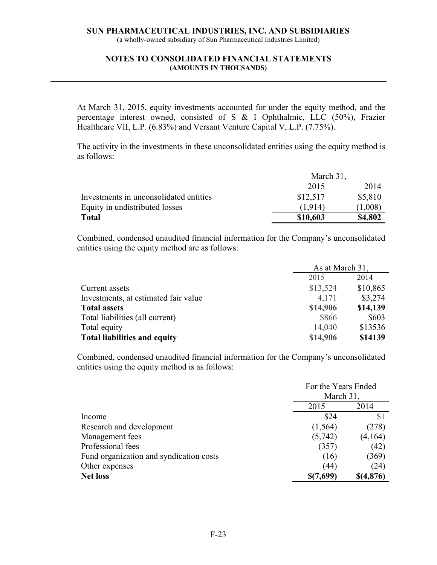(a wholly-owned subsidiary of Sun Pharmaceutical Industries Limited)

#### **NOTES TO CONSOLIDATED FINANCIAL STATEMENTS (AMOUNTS IN THOUSANDS)**

At March 31, 2015, equity investments accounted for under the equity method, and the percentage interest owned, consisted of S & I Ophthalmic, LLC (50%), Frazier Healthcare VII, L.P. (6.83%) and Versant Venture Capital V, L.P. (7.75%).

The activity in the investments in these unconsolidated entities using the equity method is as follows:

|                                        | March 31. |         |
|----------------------------------------|-----------|---------|
|                                        | 2015      | 2014    |
| Investments in unconsolidated entities | \$12,517  | \$5,810 |
| Equity in undistributed losses         | (1914)    | (1,008) |
| <b>Total</b>                           | \$10,603  | \$4,802 |

Combined, condensed unaudited financial information for the Company's unconsolidated entities using the equity method are as follows:

|                                      | As at March 31, |          |
|--------------------------------------|-----------------|----------|
|                                      | 2015            | 2014     |
| Current assets                       | \$13,524        | \$10,865 |
| Investments, at estimated fair value | 4,171           | \$3,274  |
| <b>Total assets</b>                  | \$14,906        | \$14,139 |
| Total liabilities (all current)      | \$866           | \$603    |
| Total equity                         | 14,040          | \$13536  |
| <b>Total liabilities and equity</b>  | \$14,906        | \$14139  |

Combined, condensed unaudited financial information for the Company's unconsolidated entities using the equity method is as follows:

|                                         | For the Years Ended |           |
|-----------------------------------------|---------------------|-----------|
|                                         | March 31,           |           |
|                                         | 2015                | 2014      |
| Income                                  | \$24                | \$1       |
| Research and development                | (1, 564)            | (278)     |
| Management fees                         | (5,742)             | (4,164)   |
| Professional fees                       | (357)               | (42)      |
| Fund organization and syndication costs | (16)                | (369)     |
| Other expenses                          | (44)                | (24)      |
| <b>Net loss</b>                         | \$(7,699)           | \$(4,876) |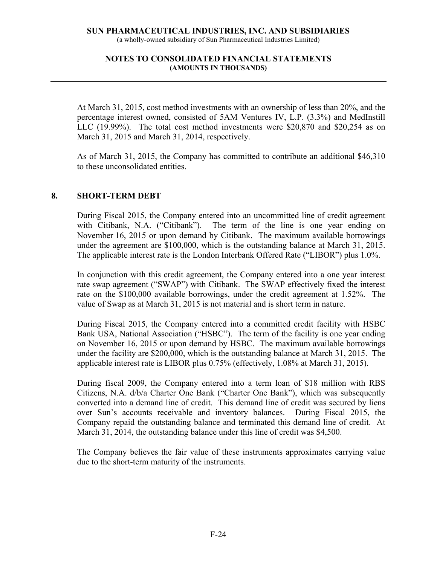## **NOTES TO CONSOLIDATED FINANCIAL STATEMENTS (AMOUNTS IN THOUSANDS)**

At March 31, 2015, cost method investments with an ownership of less than 20%, and the percentage interest owned, consisted of 5AM Ventures IV, L.P. (3.3%) and MedInstill LLC (19.99%). The total cost method investments were \$20,870 and \$20,254 as on March 31, 2015 and March 31, 2014, respectively.

As of March 31, 2015, the Company has committed to contribute an additional \$46,310 to these unconsolidated entities.

## **8. SHORT-TERM DEBT**

During Fiscal 2015, the Company entered into an uncommitted line of credit agreement with Citibank, N.A. ("Citibank"). The term of the line is one year ending on November 16, 2015 or upon demand by Citibank. The maximum available borrowings under the agreement are \$100,000, which is the outstanding balance at March 31, 2015. The applicable interest rate is the London Interbank Offered Rate ("LIBOR") plus 1.0%.

In conjunction with this credit agreement, the Company entered into a one year interest rate swap agreement ("SWAP") with Citibank. The SWAP effectively fixed the interest rate on the \$100,000 available borrowings, under the credit agreement at 1.52%. The value of Swap as at March 31, 2015 is not material and is short term in nature.

During Fiscal 2015, the Company entered into a committed credit facility with HSBC Bank USA, National Association ("HSBC"). The term of the facility is one year ending on November 16, 2015 or upon demand by HSBC. The maximum available borrowings under the facility are \$200,000, which is the outstanding balance at March 31, 2015. The applicable interest rate is LIBOR plus 0.75% (effectively, 1.08% at March 31, 2015).

During fiscal 2009, the Company entered into a term loan of \$18 million with RBS Citizens, N.A. d/b/a Charter One Bank ("Charter One Bank"), which was subsequently converted into a demand line of credit. This demand line of credit was secured by liens over Sun's accounts receivable and inventory balances. During Fiscal 2015, the Company repaid the outstanding balance and terminated this demand line of credit. At March 31, 2014, the outstanding balance under this line of credit was \$4,500.

The Company believes the fair value of these instruments approximates carrying value due to the short-term maturity of the instruments.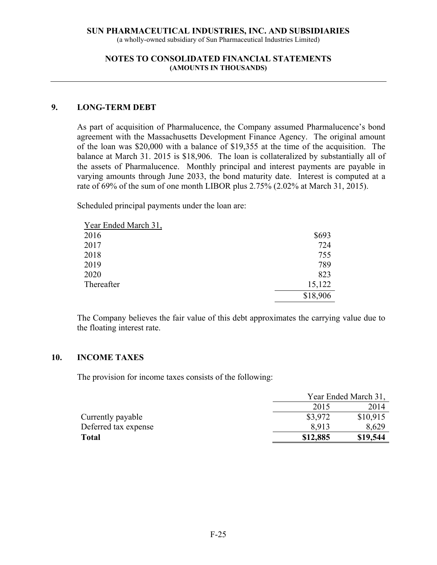#### **NOTES TO CONSOLIDATED FINANCIAL STATEMENTS (AMOUNTS IN THOUSANDS)**

## **9. LONG-TERM DEBT**

As part of acquisition of Pharmalucence, the Company assumed Pharmalucence's bond agreement with the Massachusetts Development Finance Agency. The original amount of the loan was \$20,000 with a balance of \$19,355 at the time of the acquisition. The balance at March 31. 2015 is \$18,906. The loan is collateralized by substantially all of the assets of Pharmalucence. Monthly principal and interest payments are payable in varying amounts through June 2033, the bond maturity date. Interest is computed at a rate of 69% of the sum of one month LIBOR plus 2.75% (2.02% at March 31, 2015).

Scheduled principal payments under the loan are:

| Year Ended March 31, |          |
|----------------------|----------|
| 2016                 | \$693    |
| 2017                 | 724      |
| 2018                 | 755      |
| 2019                 | 789      |
| 2020                 | 823      |
| Thereafter           | 15,122   |
|                      | \$18,906 |

The Company believes the fair value of this debt approximates the carrying value due to the floating interest rate.

## **10. INCOME TAXES**

The provision for income taxes consists of the following:

|                      |          | Year Ended March 31, |  |
|----------------------|----------|----------------------|--|
|                      | 2015     | 2014                 |  |
| Currently payable    | \$3,972  | \$10,915             |  |
| Deferred tax expense | 8913     | 8,629                |  |
| <b>Total</b>         | \$12,885 | \$19,544             |  |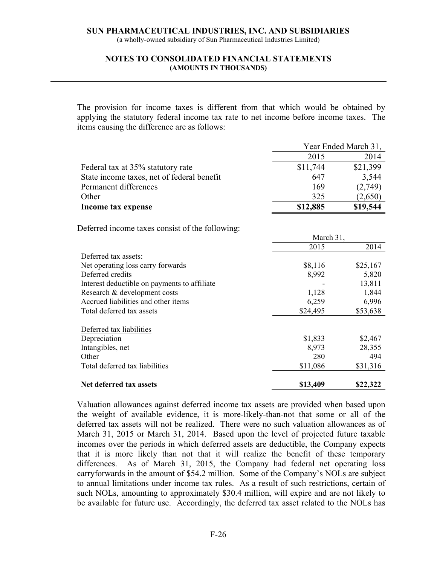(a wholly-owned subsidiary of Sun Pharmaceutical Industries Limited)

#### **NOTES TO CONSOLIDATED FINANCIAL STATEMENTS (AMOUNTS IN THOUSANDS)**

The provision for income taxes is different from that which would be obtained by applying the statutory federal income tax rate to net income before income taxes. The items causing the difference are as follows:

|                                                 | Year Ended March 31, |          |
|-------------------------------------------------|----------------------|----------|
|                                                 | 2015                 | 2014     |
| Federal tax at 35% statutory rate               | \$11,744             | \$21,399 |
| State income taxes, net of federal benefit      | 647                  | 3,544    |
| Permanent differences                           | 169                  | (2,749)  |
| Other                                           | 325                  | (2,650)  |
| Income tax expense                              | \$12,885             | \$19,544 |
| Deferred income taxes consist of the following: |                      |          |
|                                                 | March 31,            |          |
|                                                 | 2015                 | 2014     |
| Deferred tax assets:                            |                      |          |
| Net operating loss carry forwards               | \$8,116              | \$25,167 |
| Deferred credits                                | 8,992                | 5,820    |
| Interest deductible on payments to affiliate    |                      | 13,811   |
| Research & development costs                    | 1,128                | 1,844    |
| Accrued liabilities and other items             | 6,259                | 6,996    |
| Total deferred tax assets                       | \$24,495             | \$53,638 |
| Deferred tax liabilities                        |                      |          |
| Depreciation                                    | \$1,833              | \$2,467  |
| Intangibles, net                                | 8,973                | 28,355   |
| Other                                           | 280                  | 494      |
| Total deferred tax liabilities                  | \$11,086             | \$31,316 |
|                                                 |                      |          |
| Net deferred tax assets                         | \$13,409             | \$22,322 |

Valuation allowances against deferred income tax assets are provided when based upon the weight of available evidence, it is more-likely-than-not that some or all of the deferred tax assets will not be realized. There were no such valuation allowances as of March 31, 2015 or March 31, 2014. Based upon the level of projected future taxable incomes over the periods in which deferred assets are deductible, the Company expects that it is more likely than not that it will realize the benefit of these temporary differences. As of March 31, 2015, the Company had federal net operating loss carryforwards in the amount of \$54.2 million. Some of the Company's NOLs are subject to annual limitations under income tax rules. As a result of such restrictions, certain of such NOLs, amounting to approximately \$30.4 million, will expire and are not likely to be available for future use. Accordingly, the deferred tax asset related to the NOLs has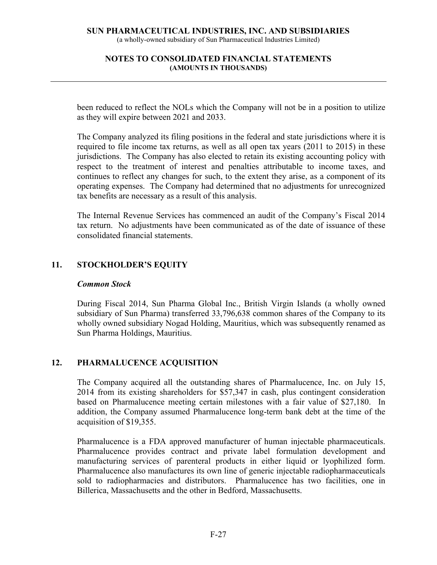## **NOTES TO CONSOLIDATED FINANCIAL STATEMENTS (AMOUNTS IN THOUSANDS)**

been reduced to reflect the NOLs which the Company will not be in a position to utilize as they will expire between 2021 and 2033.

The Company analyzed its filing positions in the federal and state jurisdictions where it is required to file income tax returns, as well as all open tax years (2011 to 2015) in these jurisdictions. The Company has also elected to retain its existing accounting policy with respect to the treatment of interest and penalties attributable to income taxes, and continues to reflect any changes for such, to the extent they arise, as a component of its operating expenses. The Company had determined that no adjustments for unrecognized tax benefits are necessary as a result of this analysis.

The Internal Revenue Services has commenced an audit of the Company's Fiscal 2014 tax return. No adjustments have been communicated as of the date of issuance of these consolidated financial statements.

# **11. STOCKHOLDER'S EQUITY**

## *Common Stock*

During Fiscal 2014, Sun Pharma Global Inc., British Virgin Islands (a wholly owned subsidiary of Sun Pharma) transferred 33,796,638 common shares of the Company to its wholly owned subsidiary Nogad Holding, Mauritius, which was subsequently renamed as Sun Pharma Holdings, Mauritius.

# **12. PHARMALUCENCE ACQUISITION**

The Company acquired all the outstanding shares of Pharmalucence, Inc. on July 15, 2014 from its existing shareholders for \$57,347 in cash, plus contingent consideration based on Pharmalucence meeting certain milestones with a fair value of \$27,180. In addition, the Company assumed Pharmalucence long-term bank debt at the time of the acquisition of \$19,355.

Pharmalucence is a FDA approved manufacturer of human injectable pharmaceuticals. Pharmalucence provides contract and private label formulation development and manufacturing services of parenteral products in either liquid or lyophilized form. Pharmalucence also manufactures its own line of generic injectable radiopharmaceuticals sold to radiopharmacies and distributors. Pharmalucence has two facilities, one in Billerica, Massachusetts and the other in Bedford, Massachusetts.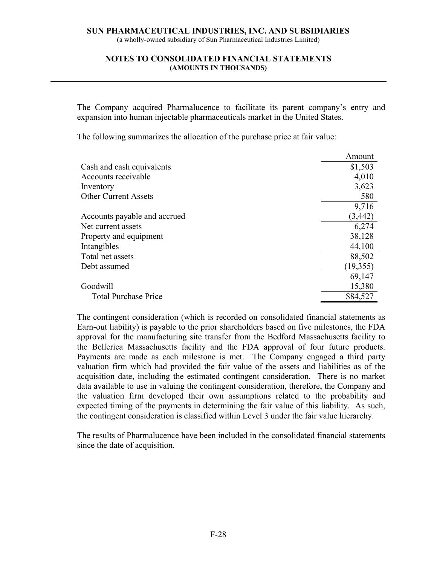(a wholly-owned subsidiary of Sun Pharmaceutical Industries Limited)

#### **NOTES TO CONSOLIDATED FINANCIAL STATEMENTS (AMOUNTS IN THOUSANDS)**

The Company acquired Pharmalucence to facilitate its parent company's entry and expansion into human injectable pharmaceuticals market in the United States.

The following summarizes the allocation of the purchase price at fair value:

|                              | Amount   |
|------------------------------|----------|
| Cash and cash equivalents    | \$1,503  |
| Accounts receivable          | 4,010    |
| Inventory                    | 3,623    |
| <b>Other Current Assets</b>  | 580      |
|                              | 9,716    |
| Accounts payable and accrued | (3, 442) |
| Net current assets           | 6,274    |
| Property and equipment       | 38,128   |
| Intangibles                  | 44,100   |
| Total net assets             | 88,502   |
| Debt assumed                 | (19,355) |
|                              | 69,147   |
| Goodwill                     | 15,380   |
| <b>Total Purchase Price</b>  | \$84,527 |

The contingent consideration (which is recorded on consolidated financial statements as Earn-out liability) is payable to the prior shareholders based on five milestones, the FDA approval for the manufacturing site transfer from the Bedford Massachusetts facility to the Bellerica Massachusetts facility and the FDA approval of four future products. Payments are made as each milestone is met. The Company engaged a third party valuation firm which had provided the fair value of the assets and liabilities as of the acquisition date, including the estimated contingent consideration. There is no market data available to use in valuing the contingent consideration, therefore, the Company and the valuation firm developed their own assumptions related to the probability and expected timing of the payments in determining the fair value of this liability. As such, the contingent consideration is classified within Level 3 under the fair value hierarchy.

The results of Pharmalucence have been included in the consolidated financial statements since the date of acquisition.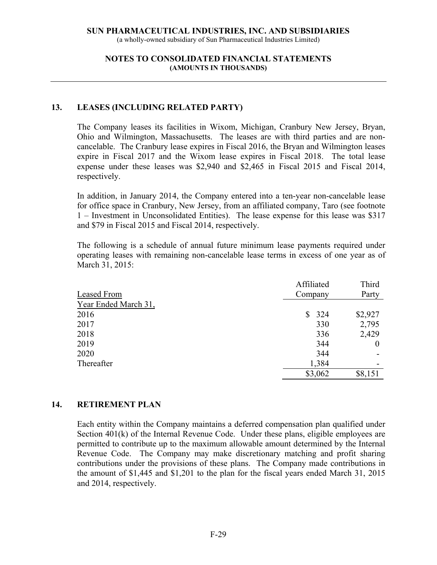(a wholly-owned subsidiary of Sun Pharmaceutical Industries Limited)

#### **NOTES TO CONSOLIDATED FINANCIAL STATEMENTS (AMOUNTS IN THOUSANDS)**

## **13. LEASES (INCLUDING RELATED PARTY)**

The Company leases its facilities in Wixom, Michigan, Cranbury New Jersey, Bryan, Ohio and Wilmington, Massachusetts. The leases are with third parties and are noncancelable. The Cranbury lease expires in Fiscal 2016, the Bryan and Wilmington leases expire in Fiscal 2017 and the Wixom lease expires in Fiscal 2018. The total lease expense under these leases was \$2,940 and \$2,465 in Fiscal 2015 and Fiscal 2014, respectively.

In addition, in January 2014, the Company entered into a ten-year non-cancelable lease for office space in Cranbury, New Jersey, from an affiliated company, Taro (see footnote 1 – Investment in Unconsolidated Entities). The lease expense for this lease was \$317 and \$79 in Fiscal 2015 and Fiscal 2014, respectively.

The following is a schedule of annual future minimum lease payments required under operating leases with remaining non-cancelable lease terms in excess of one year as of March 31, 2015:

|                      | Affiliated | Third   |
|----------------------|------------|---------|
| Leased From          | Company    | Party   |
| Year Ended March 31, |            |         |
| 2016                 | 324<br>S.  | \$2,927 |
| 2017                 | 330        | 2,795   |
| 2018                 | 336        | 2,429   |
| 2019                 | 344        |         |
| 2020                 | 344        |         |
| Thereafter           | 1,384      |         |
|                      | \$3,062    | \$8,151 |

#### **14. RETIREMENT PLAN**

Each entity within the Company maintains a deferred compensation plan qualified under Section 401(k) of the Internal Revenue Code. Under these plans, eligible employees are permitted to contribute up to the maximum allowable amount determined by the Internal Revenue Code. The Company may make discretionary matching and profit sharing contributions under the provisions of these plans. The Company made contributions in the amount of \$1,445 and \$1,201 to the plan for the fiscal years ended March 31, 2015 and 2014, respectively.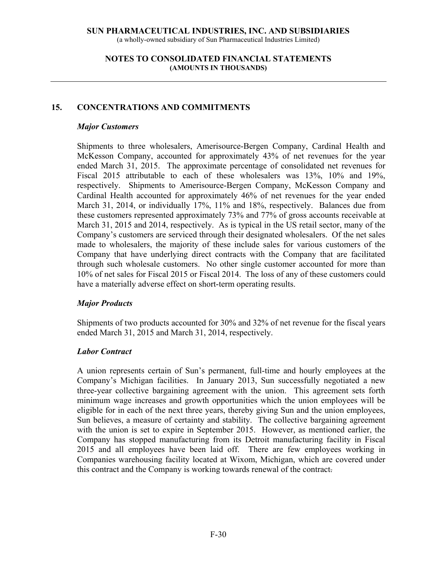(a wholly-owned subsidiary of Sun Pharmaceutical Industries Limited)

#### **NOTES TO CONSOLIDATED FINANCIAL STATEMENTS (AMOUNTS IN THOUSANDS)**

## **15. CONCENTRATIONS AND COMMITMENTS**

## *Major Customers*

Shipments to three wholesalers, Amerisource-Bergen Company, Cardinal Health and McKesson Company, accounted for approximately 43% of net revenues for the year ended March 31, 2015. The approximate percentage of consolidated net revenues for Fiscal 2015 attributable to each of these wholesalers was 13%, 10% and 19%, respectively. Shipments to Amerisource-Bergen Company, McKesson Company and Cardinal Health accounted for approximately 46% of net revenues for the year ended March 31, 2014, or individually 17%, 11% and 18%, respectively. Balances due from these customers represented approximately 73% and 77% of gross accounts receivable at March 31, 2015 and 2014, respectively. As is typical in the US retail sector, many of the Company's customers are serviced through their designated wholesalers. Of the net sales made to wholesalers, the majority of these include sales for various customers of the Company that have underlying direct contracts with the Company that are facilitated through such wholesale customers. No other single customer accounted for more than 10% of net sales for Fiscal 2015 or Fiscal 2014. The loss of any of these customers could have a materially adverse effect on short-term operating results.

## *Major Products*

Shipments of two products accounted for 30% and 32% of net revenue for the fiscal years ended March 31, 2015 and March 31, 2014, respectively.

## *Labor Contract*

A union represents certain of Sun's permanent, full-time and hourly employees at the Company's Michigan facilities. In January 2013, Sun successfully negotiated a new three-year collective bargaining agreement with the union. This agreement sets forth minimum wage increases and growth opportunities which the union employees will be eligible for in each of the next three years, thereby giving Sun and the union employees, Sun believes, a measure of certainty and stability. The collective bargaining agreement with the union is set to expire in September 2015. However, as mentioned earlier, the Company has stopped manufacturing from its Detroit manufacturing facility in Fiscal 2015 and all employees have been laid off. There are few employees working in Companies warehousing facility located at Wixom, Michigan, which are covered under this contract and the Company is working towards renewal of the contract.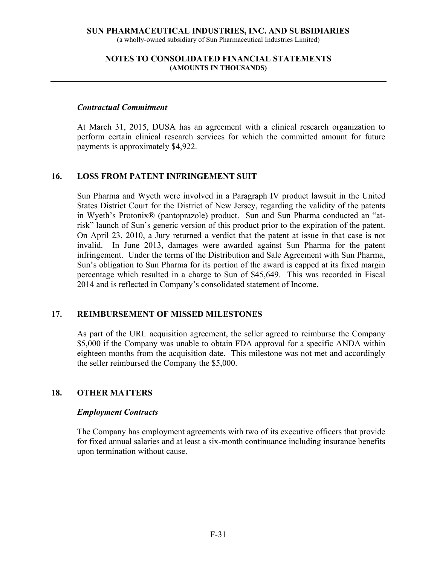## **NOTES TO CONSOLIDATED FINANCIAL STATEMENTS (AMOUNTS IN THOUSANDS)**

## *Contractual Commitment*

At March 31, 2015, DUSA has an agreement with a clinical research organization to perform certain clinical research services for which the committed amount for future payments is approximately \$4,922.

# **16. LOSS FROM PATENT INFRINGEMENT SUIT**

Sun Pharma and Wyeth were involved in a Paragraph IV product lawsuit in the United States District Court for the District of New Jersey, regarding the validity of the patents in Wyeth's Protonix® (pantoprazole) product. Sun and Sun Pharma conducted an "atrisk" launch of Sun's generic version of this product prior to the expiration of the patent. On April 23, 2010, a Jury returned a verdict that the patent at issue in that case is not invalid. In June 2013, damages were awarded against Sun Pharma for the patent infringement. Under the terms of the Distribution and Sale Agreement with Sun Pharma, Sun's obligation to Sun Pharma for its portion of the award is capped at its fixed margin percentage which resulted in a charge to Sun of \$45,649. This was recorded in Fiscal 2014 and is reflected in Company's consolidated statement of Income.

# **17. REIMBURSEMENT OF MISSED MILESTONES**

As part of the URL acquisition agreement, the seller agreed to reimburse the Company \$5,000 if the Company was unable to obtain FDA approval for a specific ANDA within eighteen months from the acquisition date. This milestone was not met and accordingly the seller reimbursed the Company the \$5,000.

# **18. OTHER MATTERS**

## *Employment Contracts*

The Company has employment agreements with two of its executive officers that provide for fixed annual salaries and at least a six-month continuance including insurance benefits upon termination without cause.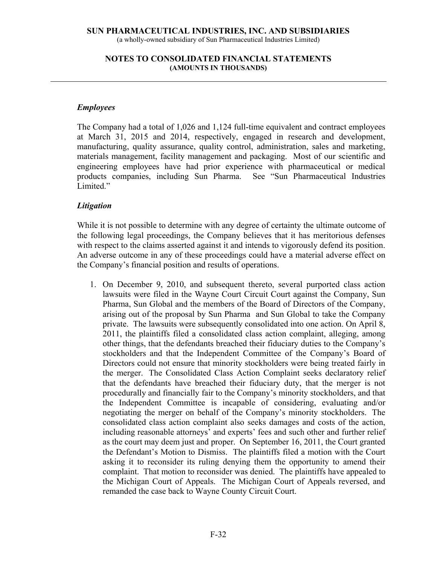## **NOTES TO CONSOLIDATED FINANCIAL STATEMENTS (AMOUNTS IN THOUSANDS)**

## *Employees*

The Company had a total of 1,026 and 1,124 full-time equivalent and contract employees at March 31, 2015 and 2014, respectively, engaged in research and development, manufacturing, quality assurance, quality control, administration, sales and marketing, materials management, facility management and packaging. Most of our scientific and engineering employees have had prior experience with pharmaceutical or medical products companies, including Sun Pharma. See "Sun Pharmaceutical Industries Limited."

## *Litigation*

While it is not possible to determine with any degree of certainty the ultimate outcome of the following legal proceedings, the Company believes that it has meritorious defenses with respect to the claims asserted against it and intends to vigorously defend its position. An adverse outcome in any of these proceedings could have a material adverse effect on the Company's financial position and results of operations.

1. On December 9, 2010, and subsequent thereto, several purported class action lawsuits were filed in the Wayne Court Circuit Court against the Company, Sun Pharma, Sun Global and the members of the Board of Directors of the Company, arising out of the proposal by Sun Pharma and Sun Global to take the Company private. The lawsuits were subsequently consolidated into one action. On April 8, 2011, the plaintiffs filed a consolidated class action complaint, alleging, among other things, that the defendants breached their fiduciary duties to the Company's stockholders and that the Independent Committee of the Company's Board of Directors could not ensure that minority stockholders were being treated fairly in the merger. The Consolidated Class Action Complaint seeks declaratory relief that the defendants have breached their fiduciary duty, that the merger is not procedurally and financially fair to the Company's minority stockholders, and that the Independent Committee is incapable of considering, evaluating and/or negotiating the merger on behalf of the Company's minority stockholders. The consolidated class action complaint also seeks damages and costs of the action, including reasonable attorneys' and experts' fees and such other and further relief as the court may deem just and proper. On September 16, 2011, the Court granted the Defendant's Motion to Dismiss. The plaintiffs filed a motion with the Court asking it to reconsider its ruling denying them the opportunity to amend their complaint. That motion to reconsider was denied. The plaintiffs have appealed to the Michigan Court of Appeals. The Michigan Court of Appeals reversed, and remanded the case back to Wayne County Circuit Court.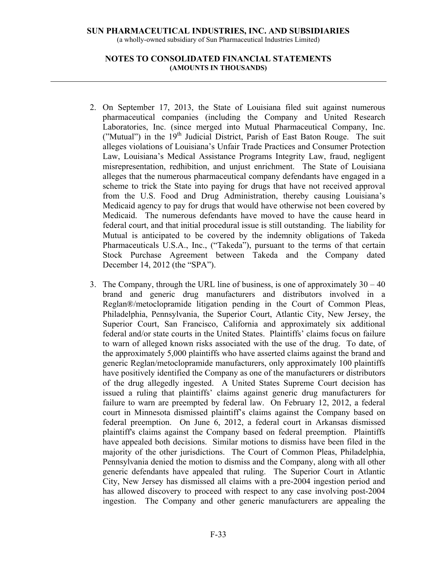(a wholly-owned subsidiary of Sun Pharmaceutical Industries Limited)

#### **NOTES TO CONSOLIDATED FINANCIAL STATEMENTS (AMOUNTS IN THOUSANDS)**

- 2. On September 17, 2013, the State of Louisiana filed suit against numerous pharmaceutical companies (including the Company and United Research Laboratories, Inc. (since merged into Mutual Pharmaceutical Company, Inc. ("Mutual") in the  $19<sup>th</sup>$  Judicial District, Parish of East Baton Rouge. The suit alleges violations of Louisiana's Unfair Trade Practices and Consumer Protection Law, Louisiana's Medical Assistance Programs Integrity Law, fraud, negligent misrepresentation, redhibition, and unjust enrichment. The State of Louisiana alleges that the numerous pharmaceutical company defendants have engaged in a scheme to trick the State into paying for drugs that have not received approval from the U.S. Food and Drug Administration, thereby causing Louisiana's Medicaid agency to pay for drugs that would have otherwise not been covered by Medicaid. The numerous defendants have moved to have the cause heard in federal court, and that initial procedural issue is still outstanding. The liability for Mutual is anticipated to be covered by the indemnity obligations of Takeda Pharmaceuticals U.S.A., Inc., ("Takeda"), pursuant to the terms of that certain Stock Purchase Agreement between Takeda and the Company dated December 14, 2012 (the "SPA").
- 3. The Company, through the URL line of business, is one of approximately  $30 40$ brand and generic drug manufacturers and distributors involved in a Reglan®/metoclopramide litigation pending in the Court of Common Pleas, Philadelphia, Pennsylvania, the Superior Court, Atlantic City, New Jersey, the Superior Court, San Francisco, California and approximately six additional federal and/or state courts in the United States. Plaintiffs' claims focus on failure to warn of alleged known risks associated with the use of the drug. To date, of the approximately 5,000 plaintiffs who have asserted claims against the brand and generic Reglan/metoclopramide manufacturers, only approximately 100 plaintiffs have positively identified the Company as one of the manufacturers or distributors of the drug allegedly ingested. A United States Supreme Court decision has issued a ruling that plaintiffs' claims against generic drug manufacturers for failure to warn are preempted by federal law. On February 12, 2012, a federal court in Minnesota dismissed plaintiff's claims against the Company based on federal preemption. On June 6, 2012, a federal court in Arkansas dismissed plaintiff's claims against the Company based on federal preemption. Plaintiffs have appealed both decisions. Similar motions to dismiss have been filed in the majority of the other jurisdictions. The Court of Common Pleas, Philadelphia, Pennsylvania denied the motion to dismiss and the Company, along with all other generic defendants have appealed that ruling. The Superior Court in Atlantic City, New Jersey has dismissed all claims with a pre-2004 ingestion period and has allowed discovery to proceed with respect to any case involving post-2004 ingestion. The Company and other generic manufacturers are appealing the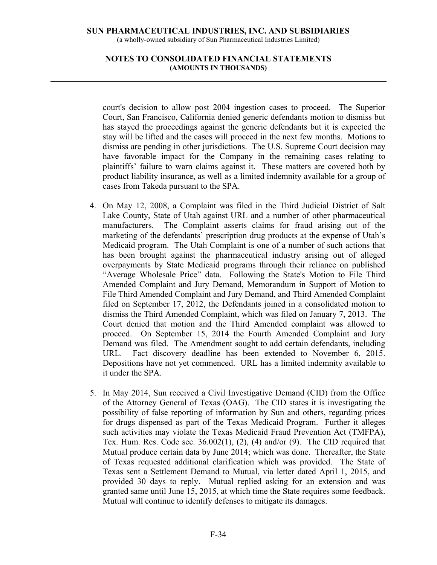(a wholly-owned subsidiary of Sun Pharmaceutical Industries Limited)

#### **NOTES TO CONSOLIDATED FINANCIAL STATEMENTS (AMOUNTS IN THOUSANDS)**

court's decision to allow post 2004 ingestion cases to proceed. The Superior Court, San Francisco, California denied generic defendants motion to dismiss but has stayed the proceedings against the generic defendants but it is expected the stay will be lifted and the cases will proceed in the next few months. Motions to dismiss are pending in other jurisdictions. The U.S. Supreme Court decision may have favorable impact for the Company in the remaining cases relating to plaintiffs' failure to warn claims against it. These matters are covered both by product liability insurance, as well as a limited indemnity available for a group of cases from Takeda pursuant to the SPA.

- 4. On May 12, 2008, a Complaint was filed in the Third Judicial District of Salt Lake County, State of Utah against URL and a number of other pharmaceutical manufacturers. The Complaint asserts claims for fraud arising out of the marketing of the defendants' prescription drug products at the expense of Utah's Medicaid program. The Utah Complaint is one of a number of such actions that has been brought against the pharmaceutical industry arising out of alleged overpayments by State Medicaid programs through their reliance on published "Average Wholesale Price" data. Following the State's Motion to File Third Amended Complaint and Jury Demand, Memorandum in Support of Motion to File Third Amended Complaint and Jury Demand, and Third Amended Complaint filed on September 17, 2012, the Defendants joined in a consolidated motion to dismiss the Third Amended Complaint, which was filed on January 7, 2013. The Court denied that motion and the Third Amended complaint was allowed to proceed. On September 15, 2014 the Fourth Amended Complaint and Jury Demand was filed. The Amendment sought to add certain defendants, including URL. Fact discovery deadline has been extended to November 6, 2015. Depositions have not yet commenced. URL has a limited indemnity available to it under the SPA.
- 5. In May 2014, Sun received a Civil Investigative Demand (CID) from the Office of the Attorney General of Texas (OAG). The CID states it is investigating the possibility of false reporting of information by Sun and others, regarding prices for drugs dispensed as part of the Texas Medicaid Program. Further it alleges such activities may violate the Texas Medicaid Fraud Prevention Act (TMFPA), Tex. Hum. Res. Code sec.  $36.002(1)$ ,  $(2)$ ,  $(4)$  and/or  $(9)$ . The CID required that Mutual produce certain data by June 2014; which was done. Thereafter, the State of Texas requested additional clarification which was provided. The State of Texas sent a Settlement Demand to Mutual, via letter dated April 1, 2015, and provided 30 days to reply. Mutual replied asking for an extension and was granted same until June 15, 2015, at which time the State requires some feedback. Mutual will continue to identify defenses to mitigate its damages.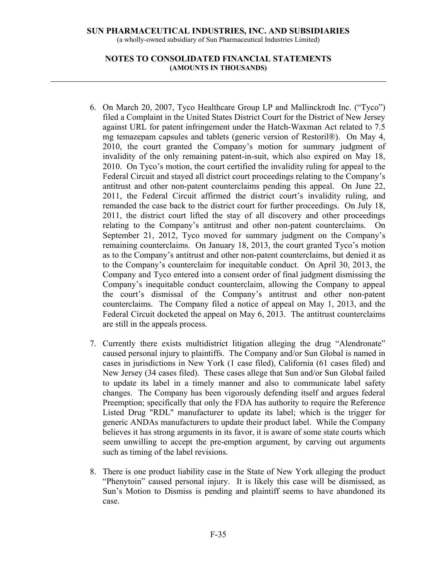(a wholly-owned subsidiary of Sun Pharmaceutical Industries Limited)

#### **NOTES TO CONSOLIDATED FINANCIAL STATEMENTS (AMOUNTS IN THOUSANDS)**

- 6. On March 20, 2007, Tyco Healthcare Group LP and Mallinckrodt Inc. ("Tyco") filed a Complaint in the United States District Court for the District of New Jersey against URL for patent infringement under the Hatch-Waxman Act related to 7.5 mg temazepam capsules and tablets (generic version of Restoril®). On May 4, 2010, the court granted the Company's motion for summary judgment of invalidity of the only remaining patent-in-suit, which also expired on May 18, 2010. On Tyco's motion, the court certified the invalidity ruling for appeal to the Federal Circuit and stayed all district court proceedings relating to the Company's antitrust and other non-patent counterclaims pending this appeal. On June 22, 2011, the Federal Circuit affirmed the district court's invalidity ruling, and remanded the case back to the district court for further proceedings. On July 18, 2011, the district court lifted the stay of all discovery and other proceedings relating to the Company's antitrust and other non-patent counterclaims. On September 21, 2012, Tyco moved for summary judgment on the Company's remaining counterclaims. On January 18, 2013, the court granted Tyco's motion as to the Company's antitrust and other non-patent counterclaims, but denied it as to the Company's counterclaim for inequitable conduct. On April 30, 2013, the Company and Tyco entered into a consent order of final judgment dismissing the Company's inequitable conduct counterclaim, allowing the Company to appeal the court's dismissal of the Company's antitrust and other non-patent counterclaims. The Company filed a notice of appeal on May 1, 2013, and the Federal Circuit docketed the appeal on May 6, 2013. The antitrust counterclaims are still in the appeals process.
- 7. Currently there exists multidistrict litigation alleging the drug "Alendronate" caused personal injury to plaintiffs. The Company and/or Sun Global is named in cases in jurisdictions in New York (1 case filed), California (61 cases filed) and New Jersey (34 cases filed). These cases allege that Sun and/or Sun Global failed to update its label in a timely manner and also to communicate label safety changes. The Company has been vigorously defending itself and argues federal Preemption; specifically that only the FDA has authority to require the Reference Listed Drug "RDL" manufacturer to update its label; which is the trigger for generic ANDAs manufacturers to update their product label. While the Company believes it has strong arguments in its favor, it is aware of some state courts which seem unwilling to accept the pre-emption argument, by carving out arguments such as timing of the label revisions.
- 8. There is one product liability case in the State of New York alleging the product "Phenytoin" caused personal injury. It is likely this case will be dismissed, as Sun's Motion to Dismiss is pending and plaintiff seems to have abandoned its case.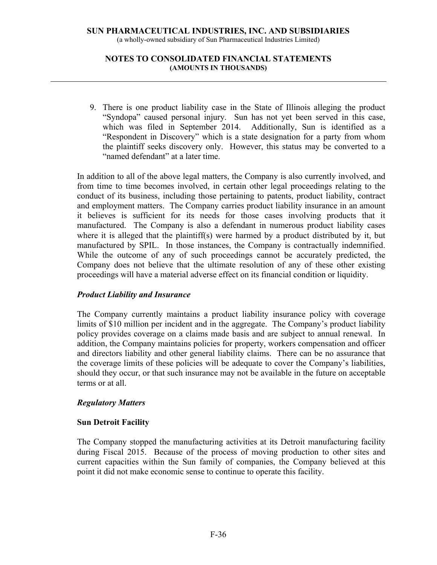(a wholly-owned subsidiary of Sun Pharmaceutical Industries Limited)

#### **NOTES TO CONSOLIDATED FINANCIAL STATEMENTS (AMOUNTS IN THOUSANDS)**

9. There is one product liability case in the State of Illinois alleging the product "Syndopa" caused personal injury. Sun has not yet been served in this case, which was filed in September 2014. Additionally, Sun is identified as a "Respondent in Discovery" which is a state designation for a party from whom the plaintiff seeks discovery only. However, this status may be converted to a "named defendant" at a later time.

In addition to all of the above legal matters, the Company is also currently involved, and from time to time becomes involved, in certain other legal proceedings relating to the conduct of its business, including those pertaining to patents, product liability, contract and employment matters. The Company carries product liability insurance in an amount it believes is sufficient for its needs for those cases involving products that it manufactured. The Company is also a defendant in numerous product liability cases where it is alleged that the plaintiff(s) were harmed by a product distributed by it, but manufactured by SPIL. In those instances, the Company is contractually indemnified. While the outcome of any of such proceedings cannot be accurately predicted, the Company does not believe that the ultimate resolution of any of these other existing proceedings will have a material adverse effect on its financial condition or liquidity.

## *Product Liability and Insurance*

The Company currently maintains a product liability insurance policy with coverage limits of \$10 million per incident and in the aggregate. The Company's product liability policy provides coverage on a claims made basis and are subject to annual renewal. In addition, the Company maintains policies for property, workers compensation and officer and directors liability and other general liability claims. There can be no assurance that the coverage limits of these policies will be adequate to cover the Company's liabilities, should they occur, or that such insurance may not be available in the future on acceptable terms or at all.

## *Regulatory Matters*

#### **Sun Detroit Facility**

The Company stopped the manufacturing activities at its Detroit manufacturing facility during Fiscal 2015. Because of the process of moving production to other sites and current capacities within the Sun family of companies, the Company believed at this point it did not make economic sense to continue to operate this facility.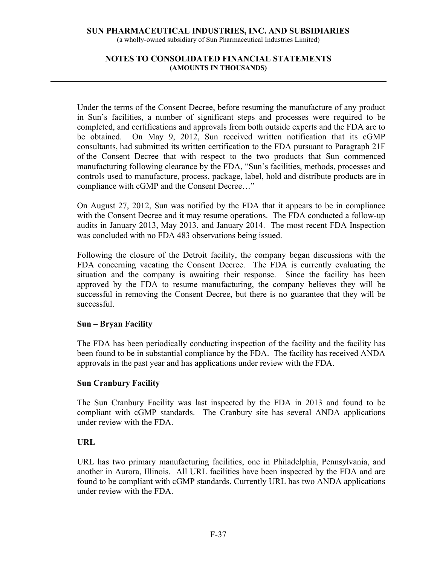(a wholly-owned subsidiary of Sun Pharmaceutical Industries Limited)

## **NOTES TO CONSOLIDATED FINANCIAL STATEMENTS (AMOUNTS IN THOUSANDS)**

Under the terms of the Consent Decree, before resuming the manufacture of any product in Sun's facilities, a number of significant steps and processes were required to be completed, and certifications and approvals from both outside experts and the FDA are to be obtained. On May 9, 2012, Sun received written notification that its cGMP consultants, had submitted its written certification to the FDA pursuant to Paragraph 21F of the Consent Decree that with respect to the two products that Sun commenced manufacturing following clearance by the FDA, "Sun's facilities, methods, processes and controls used to manufacture, process, package, label, hold and distribute products are in compliance with cGMP and the Consent Decree…"

On August 27, 2012, Sun was notified by the FDA that it appears to be in compliance with the Consent Decree and it may resume operations. The FDA conducted a follow-up audits in January 2013, May 2013, and January 2014. The most recent FDA Inspection was concluded with no FDA 483 observations being issued.

Following the closure of the Detroit facility, the company began discussions with the FDA concerning vacating the Consent Decree. The FDA is currently evaluating the situation and the company is awaiting their response. Since the facility has been approved by the FDA to resume manufacturing, the company believes they will be successful in removing the Consent Decree, but there is no guarantee that they will be successful.

## **Sun – Bryan Facility**

The FDA has been periodically conducting inspection of the facility and the facility has been found to be in substantial compliance by the FDA. The facility has received ANDA approvals in the past year and has applications under review with the FDA.

## **Sun Cranbury Facility**

The Sun Cranbury Facility was last inspected by the FDA in 2013 and found to be compliant with cGMP standards. The Cranbury site has several ANDA applications under review with the FDA.

# **URL**

URL has two primary manufacturing facilities, one in Philadelphia, Pennsylvania, and another in Aurora, Illinois. All URL facilities have been inspected by the FDA and are found to be compliant with cGMP standards. Currently URL has two ANDA applications under review with the FDA.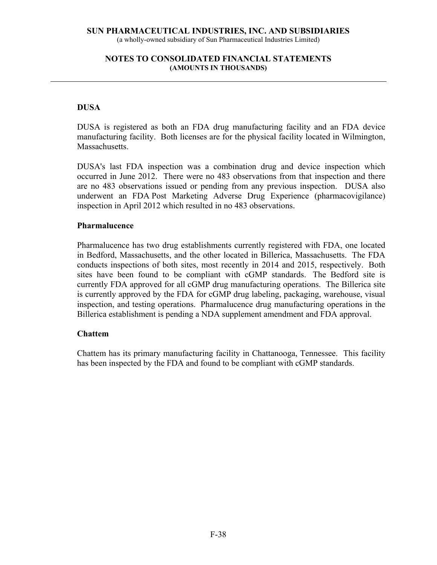## **NOTES TO CONSOLIDATED FINANCIAL STATEMENTS (AMOUNTS IN THOUSANDS)**

# **DUSA**

DUSA is registered as both an FDA drug manufacturing facility and an FDA device manufacturing facility. Both licenses are for the physical facility located in Wilmington, Massachusetts.

DUSA's last FDA inspection was a combination drug and device inspection which occurred in June 2012. There were no 483 observations from that inspection and there are no 483 observations issued or pending from any previous inspection. DUSA also underwent an FDA Post Marketing Adverse Drug Experience (pharmacovigilance) inspection in April 2012 which resulted in no 483 observations.

## **Pharmalucence**

Pharmalucence has two drug establishments currently registered with FDA, one located in Bedford, Massachusetts, and the other located in Billerica, Massachusetts. The FDA conducts inspections of both sites, most recently in 2014 and 2015, respectively. Both sites have been found to be compliant with cGMP standards. The Bedford site is currently FDA approved for all cGMP drug manufacturing operations. The Billerica site is currently approved by the FDA for cGMP drug labeling, packaging, warehouse, visual inspection, and testing operations. Pharmalucence drug manufacturing operations in the Billerica establishment is pending a NDA supplement amendment and FDA approval.

## **Chattem**

Chattem has its primary manufacturing facility in Chattanooga, Tennessee. This facility has been inspected by the FDA and found to be compliant with cGMP standards.